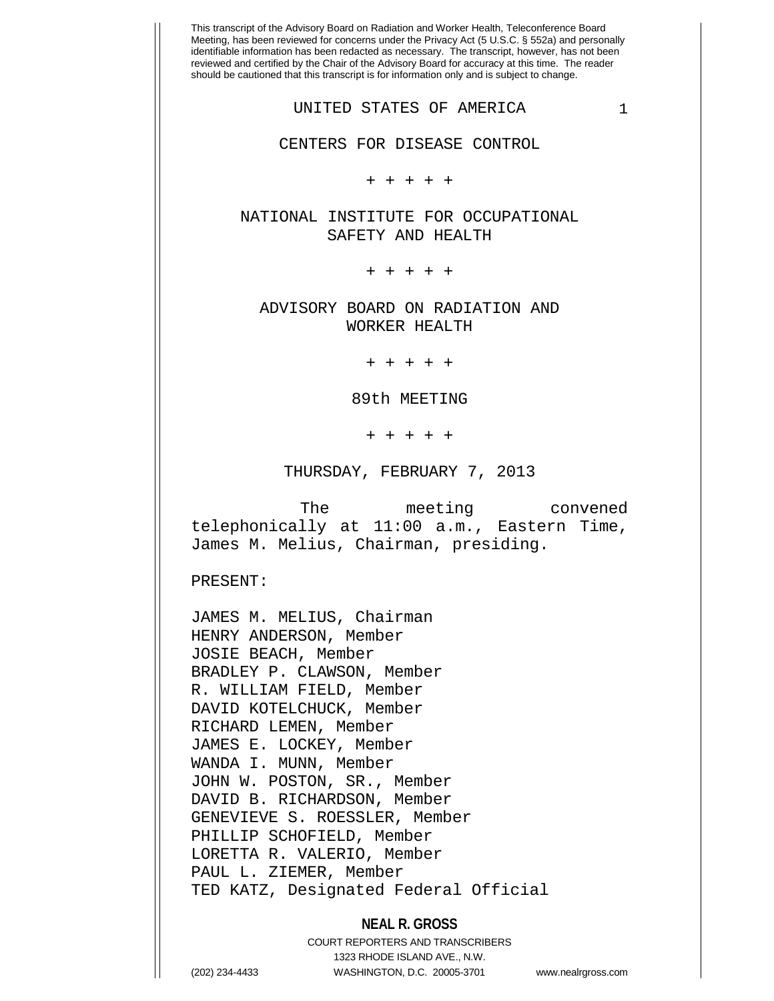+ + + + +

NATIONAL INSTITUTE FOR OCCUPATIONAL SAFETY AND HEALTH

+ + + + +

ADVISORY BOARD ON RADIATION AND WORKER HEALTH

+ + + + +

89th MEETING

+ + + + +

THURSDAY, FEBRUARY 7, 2013

The meeting convened telephonically at 11:00 a.m., Eastern Time, James M. Melius, Chairman, presiding.

PRESENT:

JAMES M. MELIUS, Chairman HENRY ANDERSON, Member JOSIE BEACH, Member BRADLEY P. CLAWSON, Member R. WILLIAM FIELD, Member DAVID KOTELCHUCK, Member RICHARD LEMEN, Member JAMES E. LOCKEY, Member WANDA I. MUNN, Member JOHN W. POSTON, SR., Member DAVID B. RICHARDSON, Member GENEVIEVE S. ROESSLER, Member PHILLIP SCHOFIELD, Member LORETTA R. VALERIO, Member PAUL L. ZIEMER, Member TED KATZ, Designated Federal Official

## **NEAL R. GROSS**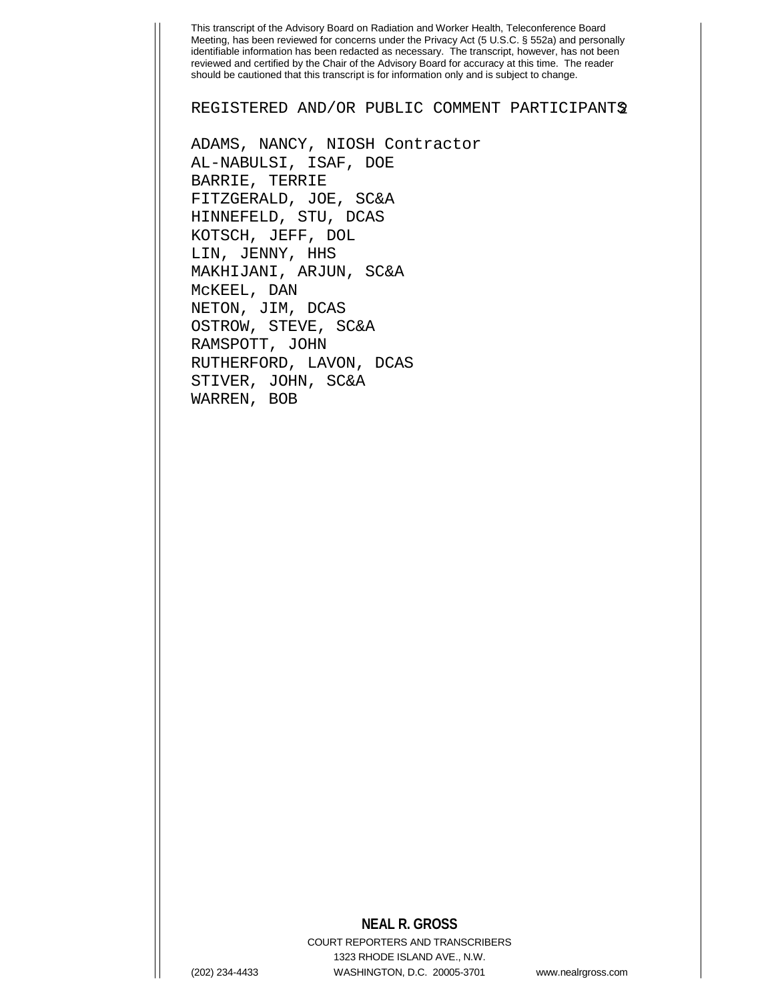REGISTERED AND/OR PUBLIC COMMENT PARTICIPANTS2

ADAMS, NANCY, NIOSH Contractor AL-NABULSI, ISAF, DOE BARRIE, TERRIE FITZGERALD, JOE, SC&A HINNEFELD, STU, DCAS KOTSCH, JEFF, DOL LIN, JENNY, HHS MAKHIJANI, ARJUN, SC&A McKEEL, DAN NETON, JIM, DCAS OSTROW, STEVE, SC&A RAMSPOTT, JOHN RUTHERFORD, LAVON, DCAS STIVER, JOHN, SC&A WARREN, BOB

## **NEAL R. GROSS**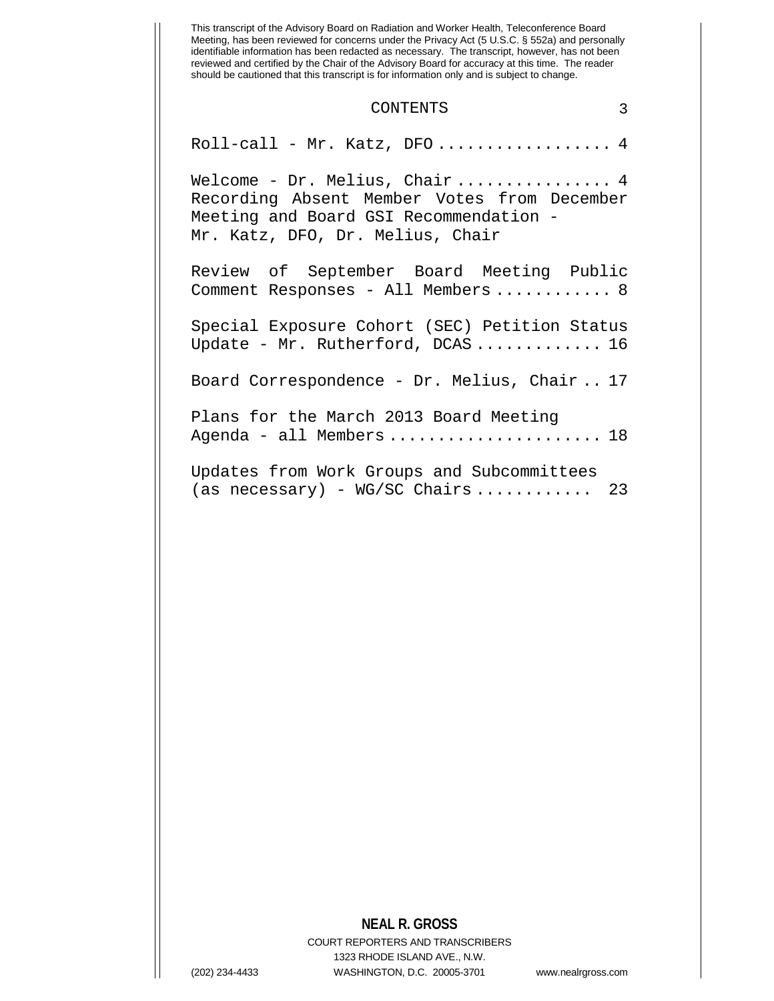#### CONTENTS 3

Roll-call - Mr. Katz, DFO................... 4 Welcome - Dr. Melius, Chair ................ 4 Recording Absent Member Votes from December Meeting and Board GSI Recommendation - Mr. Katz, DFO, Dr. Melius, Chair Review of September Board Meeting Public Comment Responses - All Members ............ 8 Special Exposure Cohort (SEC) Petition Status Update - Mr. Rutherford, DCAS ............. 16 Board Correspondence - Dr. Melius, Chair .. 17 Plans for the March 2013 Board Meeting Agenda - all Members ........................ 18 Updates from Work Groups and Subcommittees  $(as necessary) - WG/SC Chains \ldots \ldots \ldots 23$ 

# **NEAL R. GROSS**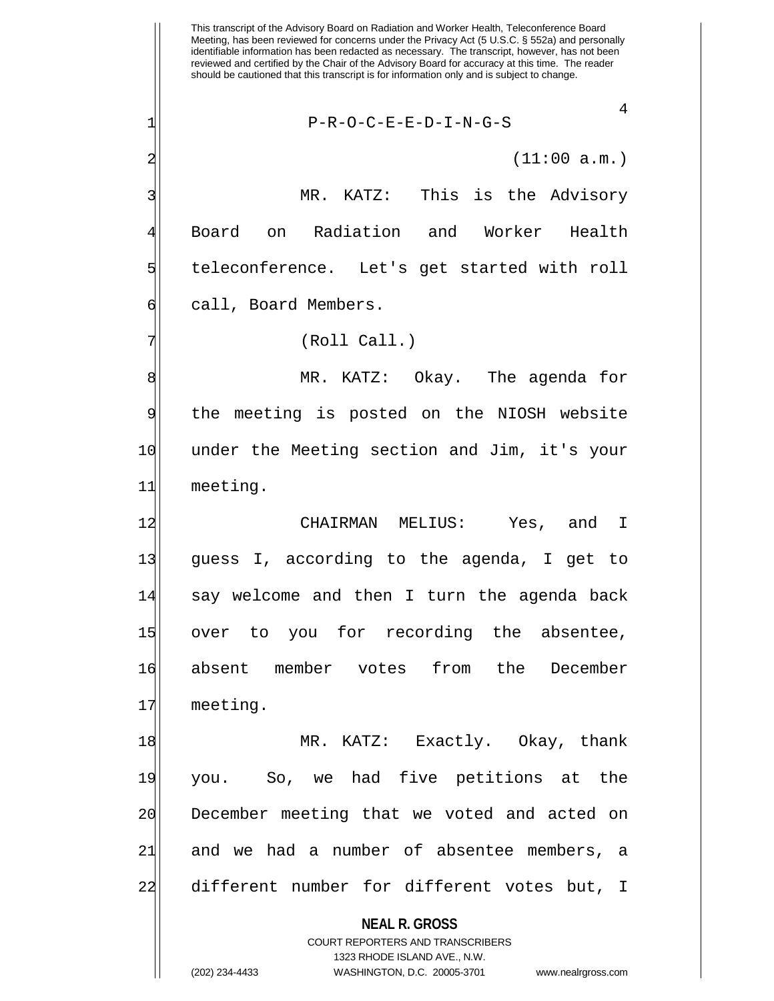**NEAL R. GROSS** COURT REPORTERS AND TRANSCRIBERS 1323 RHODE ISLAND AVE., N.W. This transcript of the Advisory Board on Radiation and Worker Health, Teleconference Board Meeting, has been reviewed for concerns under the Privacy Act (5 U.S.C. § 552a) and personally identifiable information has been redacted as necessary. The transcript, however, has not been reviewed and certified by the Chair of the Advisory Board for accuracy at this time. The reader should be cautioned that this transcript is for information only and is subject to change. 4 1| P-R-O-C-E-E-D-I-N-G-S  $2 \mid$  (11:00 a.m.) 3 MR. KATZ: This is the Advisory 4 Board on Radiation and Worker Health 5 steleconference. Let's get started with roll 6 call, Board Members. 7 (Roll Call.) 8 MR. KATZ: Okay. The agenda for 9 the meeting is posted on the NIOSH website 10 under the Meeting section and Jim, it's your 11 meeting. 12 CHAIRMAN MELIUS: Yes, and I 13 guess I, according to the agenda, I get to 14 say welcome and then I turn the agenda back 15 over to you for recording the absentee, 16 absent member votes from the December 17 meeting. 18 MR. KATZ: Exactly. Okay, thank 19 you. So, we had five petitions at the 20 December meeting that we voted and acted on 21 and we had a number of absentee members, a 22 different number for different votes but, I

(202) 234-4433 WASHINGTON, D.C. 20005-3701 www.nealrgross.com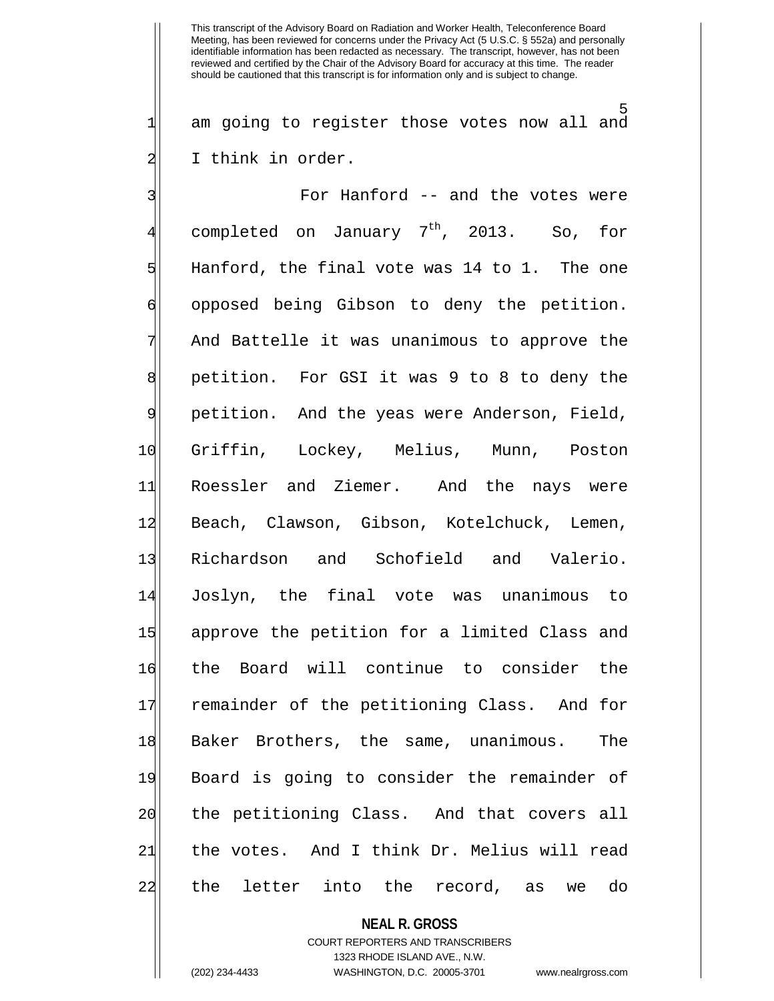5  $1\vert$  am going to register those votes now all and 2 I think in order.

3 For Hanford -- and the votes were completed on January  $7<sup>th</sup>$ , 2013. So, for  $5$  Hanford, the final vote was 14 to 1. The one 6 opposed being Gibson to deny the petition. 7 And Battelle it was unanimous to approve the 8 | petition. For GSI it was 9 to 8 to deny the 9 petition. And the yeas were Anderson, Field, 10 Griffin, Lockey, Melius, Munn, Poston 11 Roessler and Ziemer. And the nays were 12 Beach, Clawson, Gibson, Kotelchuck, Lemen, 13 Richardson and Schofield and Valerio. 14 Joslyn, the final vote was unanimous to 15 approve the petition for a limited Class and 16 the Board will continue to consider the 17 remainder of the petitioning Class. And for 18 Baker Brothers, the same, unanimous. The 19 Board is going to consider the remainder of 20 the petitioning Class. And that covers all 21 the votes. And I think Dr. Melius will read 22|| the letter into the record, as we do

**NEAL R. GROSS**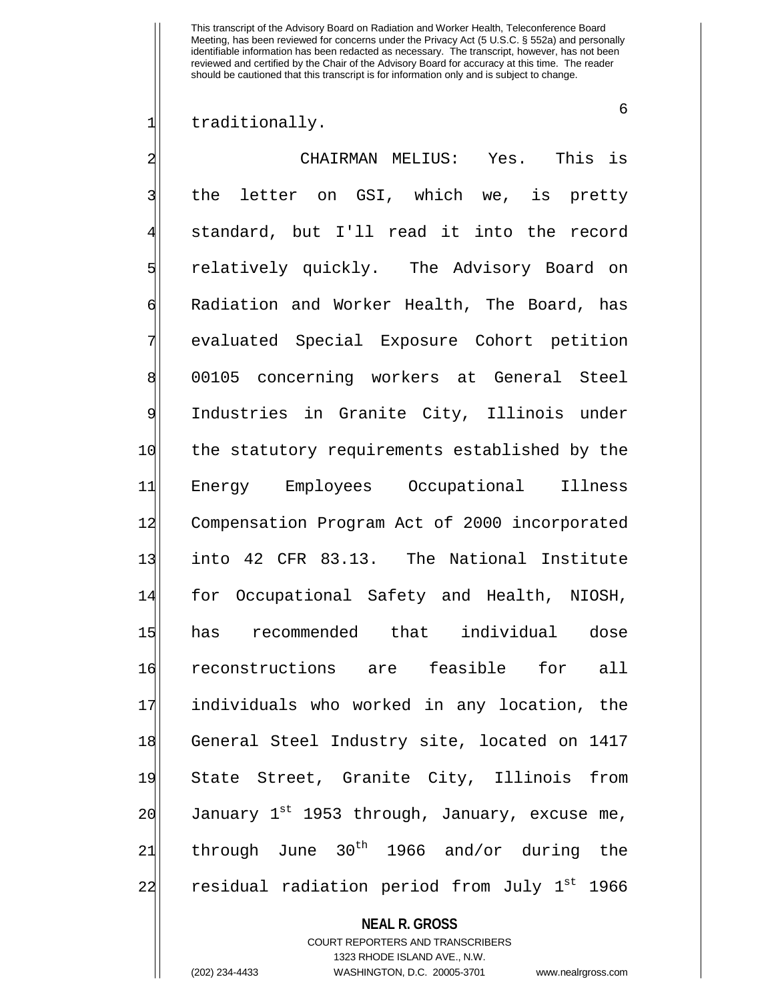6

1| traditionally.

2 CHAIRMAN MELIUS: Yes. This is 3| the letter on GSI, which we, is pretty standard, but I'll read it into the record 5 relatively quickly. The Advisory Board on 6 Radiation and Worker Health, The Board, has 7 evaluated Special Exposure Cohort petition 8 00105 concerning workers at General Steel 9 Industries in Granite City, Illinois under 10 the statutory requirements established by the 11 Energy Employees Occupational Illness 12 Compensation Program Act of 2000 incorporated 13 into 42 CFR 83.13. The National Institute 14 for Occupational Safety and Health, NIOSH, 15 has recommended that individual dose 16 reconstructions are feasible for all 17 individuals who worked in any location, the 18 General Steel Industry site, located on 1417 19 State Street, Granite City, Illinois from 20  $|$  January 1st 1953 through, January, excuse me,  $21$  through June  $30<sup>th</sup>$  1966 and/or during the 22| residual radiation period from July 1<sup>st</sup> 1966

### **NEAL R. GROSS**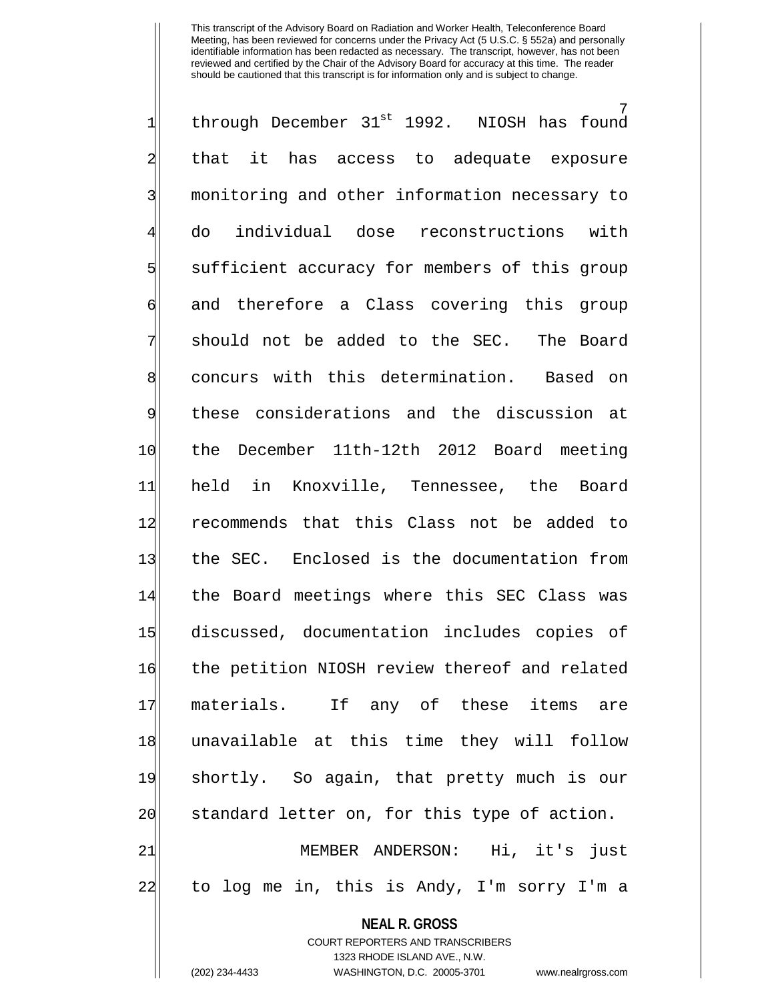7<br>NIOSH has found  $1$  through December 31st 1992. 2| that it has access to adequate exposure 3 | monitoring and other information necessary to 4 do individual dose reconstructions with 5 sufficient accuracy for members of this group 6 and therefore a Class covering this group  $7\vert$  should not be added to the SEC. The Board 8 concurs with this determination. Based on 9 these considerations and the discussion at 10 the December 11th-12th 2012 Board meeting 11 held in Knoxville, Tennessee, the Board 12 recommends that this Class not be added to 13 the SEC. Enclosed is the documentation from 14 the Board meetings where this SEC Class was 15 discussed, documentation includes copies of 16 the petition NIOSH review thereof and related 17 materials. If any of these items are 18 unavailable at this time they will follow 19 shortly. So again, that pretty much is our 20 standard letter on, for this type of action. 21 | MEMBER ANDERSON: Hi, it's just 22 to log me in, this is Andy, I'm sorry I'm a

#### **NEAL R. GROSS**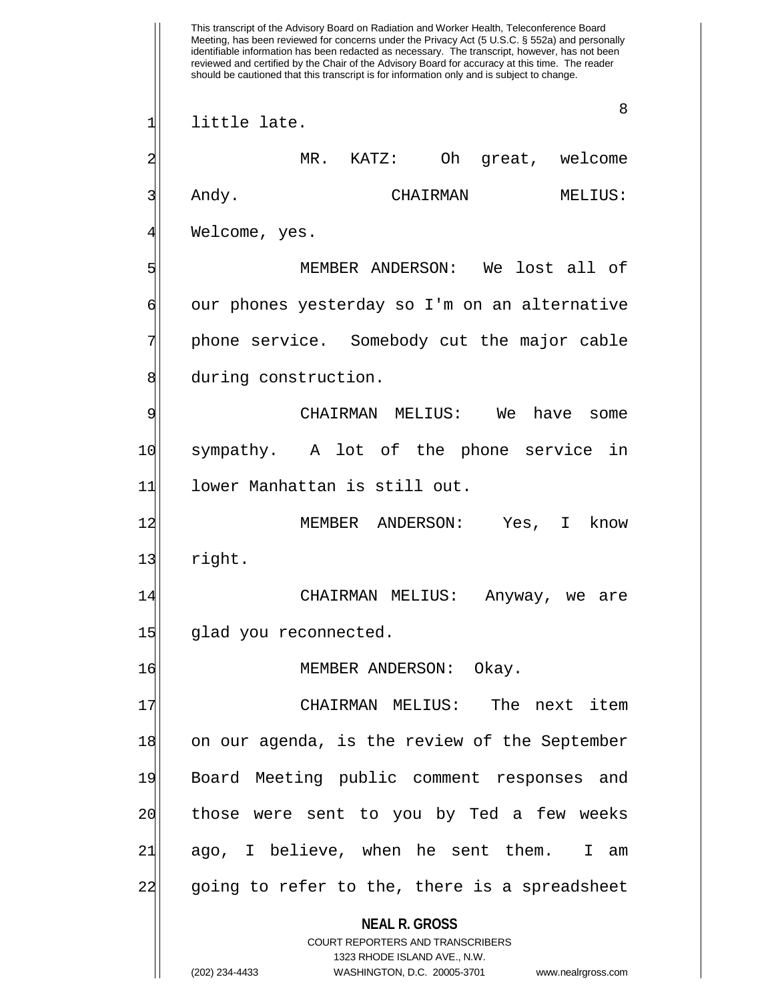**NEAL R. GROSS** COURT REPORTERS AND TRANSCRIBERS 1323 RHODE ISLAND AVE., N.W. (202) 234-4433 WASHINGTON, D.C. 20005-3701 www.nealrgross.com This transcript of the Advisory Board on Radiation and Worker Health, Teleconference Board Meeting, has been reviewed for concerns under the Privacy Act (5 U.S.C. § 552a) and personally identifiable information has been redacted as necessary. The transcript, however, has not been reviewed and certified by the Chair of the Advisory Board for accuracy at this time. The reader should be cautioned that this transcript is for information only and is subject to change. 8 1| little late. 2 MR. KATZ: Oh great, welcome 3 Andy. CHAIRMAN MELIUS: 4| Welcome, yes. 5 MEMBER ANDERSON: We lost all of 6 our phones yesterday so I'm on an alternative phone service. Somebody cut the major cable 8 during construction. 9 CHAIRMAN MELIUS: We have some 10 sympathy. A lot of the phone service in 11 lower Manhattan is still out. 12 MEMBER ANDERSON: Yes, I know 13 right. 14 CHAIRMAN MELIUS: Anyway, we are 15 glad you reconnected. 16 MEMBER ANDERSON: Okay. 17 CHAIRMAN MELIUS: The next item 18 on our agenda, is the review of the September 19 Board Meeting public comment responses and 20 those were sent to you by Ted a few weeks 21 ago, I believe, when he sent them. I am 22 going to refer to the, there is a spreadsheet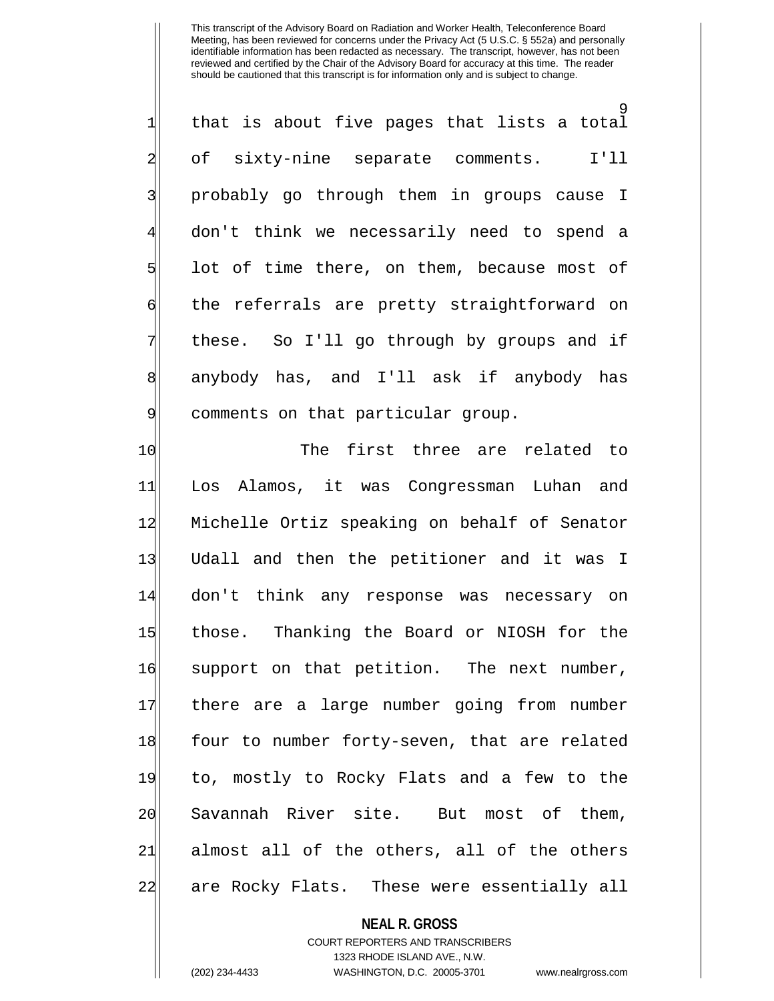9<br>- $\frac{1}{2}$  that is about five pages that lists a total 2| of sixty-nine separate comments. I'll 3| probably go through them in groups cause I 4 don't think we necessarily need to spend a  $5$  lot of time there, on them, because most of 6 foll of the referrals are pretty straightforward on 7 These. So I'll go through by groups and if 8 anybody has, and I'll ask if anybody has 9 comments on that particular group.

10 The first three are related to 11 Los Alamos, it was Congressman Luhan and 12 Michelle Ortiz speaking on behalf of Senator 13| Udall and then the petitioner and it was I 14 don't think any response was necessary on 15 those. Thanking the Board or NIOSH for the 16 support on that petition. The next number, 17 there are a large number going from number 18 four to number forty-seven, that are related 19 to, mostly to Rocky Flats and a few to the 20 Savannah River site. But most of them, 21 almost all of the others, all of the others 22 are Rocky Flats. These were essentially all

### **NEAL R. GROSS**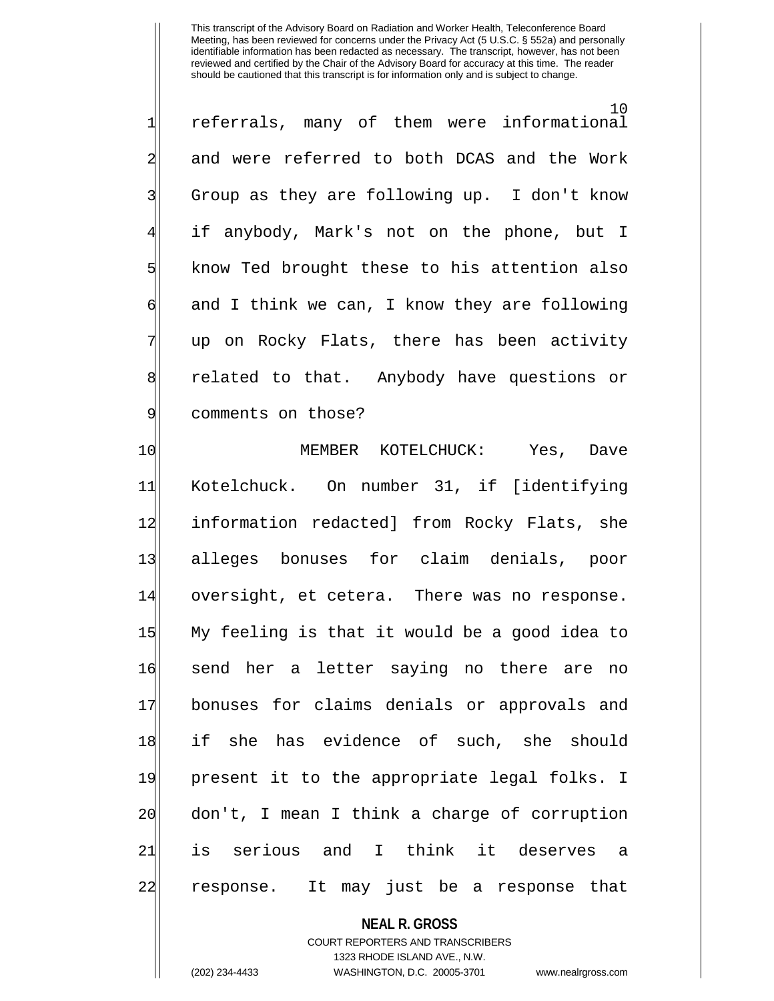10 1 referrals, many of them were informational 2 and were referred to both DCAS and the Work 3| Group as they are following up. I don't know if anybody, Mark's not on the phone, but I 5 know Ted brought these to his attention also  $\mathfrak{g}$  and I think we can, I know they are following up on Rocky Flats, there has been activity 8 8 related to that. Anybody have questions or 9 comments on those?

10 MEMBER KOTELCHUCK: Yes, Dave 11 Kotelchuck. On number 31, if [identifying 12 information redacted] from Rocky Flats, she 13 alleges bonuses for claim denials, poor 14 oversight, et cetera. There was no response. 15 My feeling is that it would be a good idea to 16 send her a letter saying no there are no 17 bonuses for claims denials or approvals and 18 if she has evidence of such, she should 19 present it to the appropriate legal folks. I 20 don't, I mean I think a charge of corruption 21|| is serious and I think it deserves a 22 response. It may just be a response that

## **NEAL R. GROSS**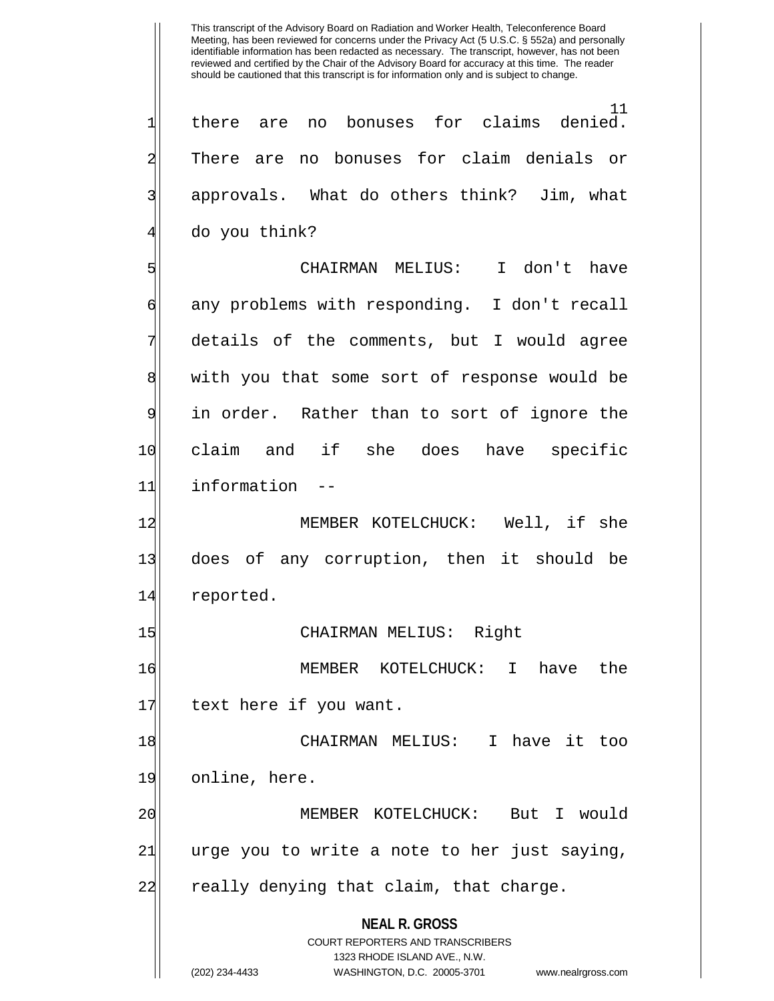**NEAL R. GROSS** COURT REPORTERS AND TRANSCRIBERS 1323 RHODE ISLAND AVE., N.W. <sup>11</sup><br>.denied  $1 \vert$  there are no bonuses for claims denied. 2 There are no bonuses for claim denials or 3| approvals. What do others think? Jim, what do you think? 5 CHAIRMAN MELIUS: I don't have 6 any problems with responding. I don't recall details of the comments, but I would agree 8 with you that some sort of response would be 9 in order. Rather than to sort of ignore the 10 claim and if she does have specific 11 information 12 MEMBER KOTELCHUCK: Well, if she 13 does of any corruption, then it should be 14 reported. 15 CHAIRMAN MELIUS: Right 16 MEMBER KOTELCHUCK: I have the 17 text here if you want. 18 CHAIRMAN MELIUS: I have it too 19 online, here. 20 MEMBER KOTELCHUCK: But I would 24| urge you to write a note to her just saying, 22 really denying that claim, that charge.

(202) 234-4433 WASHINGTON, D.C. 20005-3701 www.nealrgross.com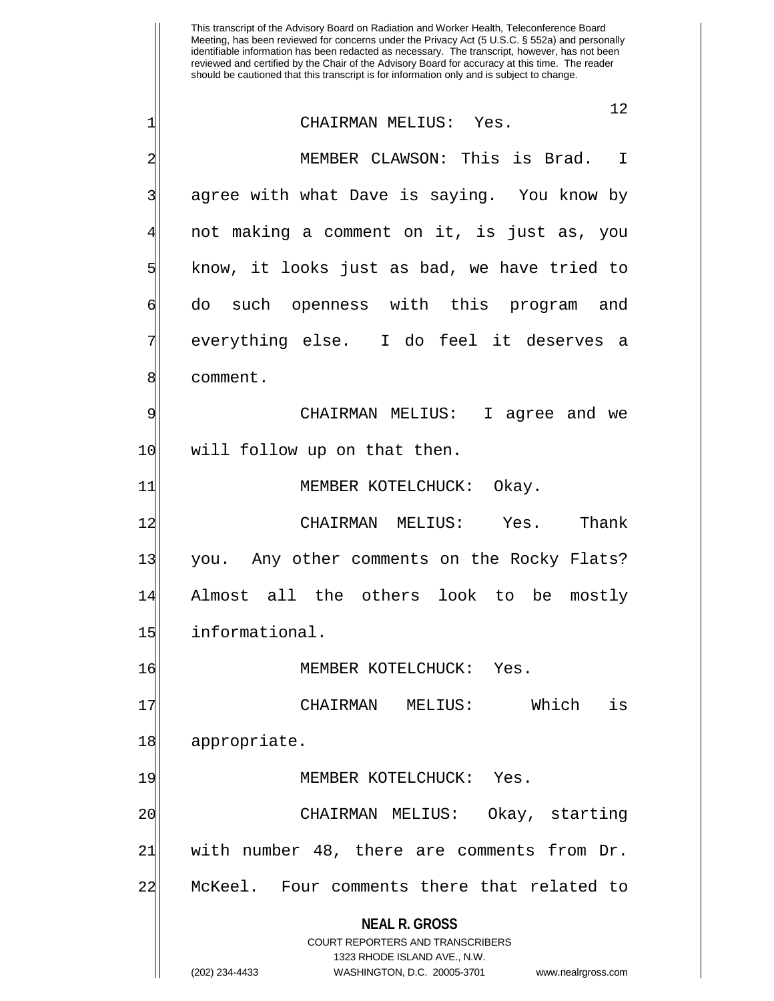**NEAL R. GROSS** COURT REPORTERS AND TRANSCRIBERS 1323 RHODE ISLAND AVE., N.W. This transcript of the Advisory Board on Radiation and Worker Health, Teleconference Board Meeting, has been reviewed for concerns under the Privacy Act (5 U.S.C. § 552a) and personally identifiable information has been redacted as necessary. The transcript, however, has not been reviewed and certified by the Chair of the Advisory Board for accuracy at this time. The reader should be cautioned that this transcript is for information only and is subject to change. 12 1 CHAIRMAN MELIUS: Yes. 2 MEMBER CLAWSON: This is Brad. I 3| agree with what Dave is saying. You know by 4 not making a comment on it, is just as, you 5 know, it looks just as bad, we have tried to 6 do such openness with this program and 7 everything else. I do feel it deserves a 8 comment. 9 CHAIRMAN MELIUS: I agree and we 10 will follow up on that then. 11 MEMBER KOTELCHUCK: Okay. 12 CHAIRMAN MELIUS: Yes. Thank 13 you. Any other comments on the Rocky Flats? 14 Almost all the others look to be mostly 15 informational. 16 MEMBER KOTELCHUCK: Yes. 17 CHAIRMAN MELIUS: Which is 18 appropriate. 19 MEMBER KOTELCHUCK: Yes. 20 CHAIRMAN MELIUS: Okay, starting  $21$  with number 48, there are comments from Dr. 22 McKeel. Four comments there that related to

(202) 234-4433 WASHINGTON, D.C. 20005-3701 www.nealrgross.com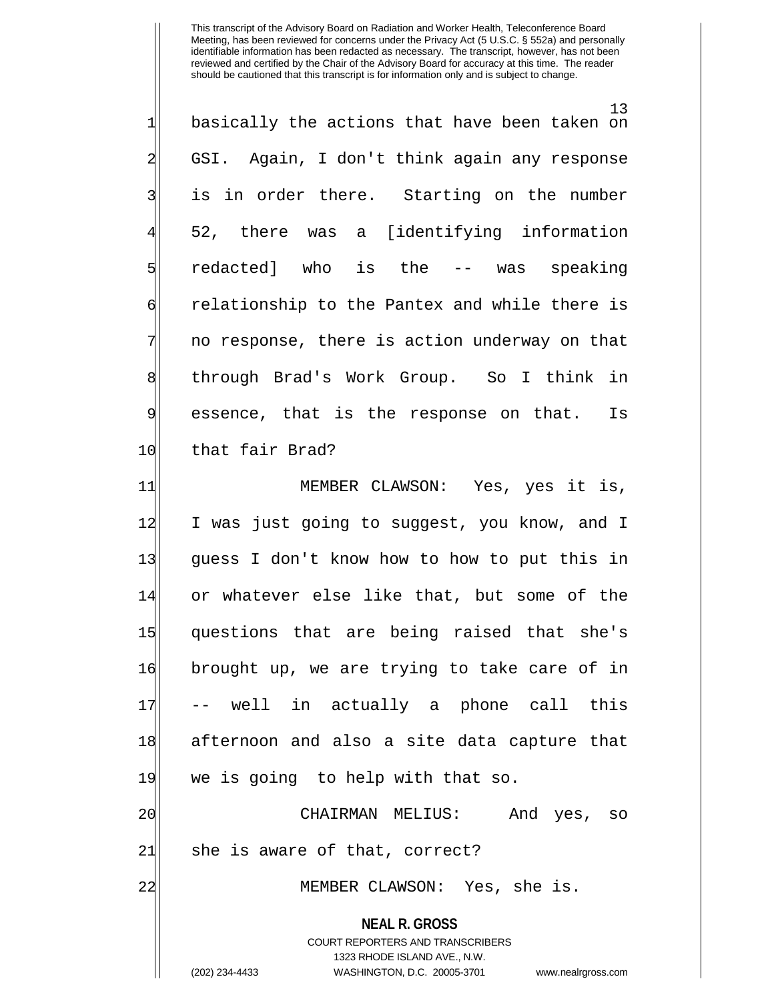13  $1$  basically the actions that have been taken on 2 GSI. Again, I don't think again any response 3 is in order there. Starting on the number 52, there was a [identifying information 5 s 5 redacted] who is the -- was speaking 6 relationship to the Pantex and while there is 7 | no response, there is action underway on that 8 | through Brad's Work Group. So I think in 9 essence, that is the response on that. Is 10 that fair Brad?

11 MEMBER CLAWSON: Yes, yes it is, 12 I was just going to suggest, you know, and I 13 guess I don't know how to how to put this in 14 or whatever else like that, but some of the 15 questions that are being raised that she's 16 brought up, we are trying to take care of in 17 -- well in actually a phone call this 18 afternoon and also a site data capture that 19 we is going to help with that so. 20 CHAIRMAN MELIUS: And yes, so

 $21$  she is aware of that, correct?

22 MEMBER CLAWSON: Yes, she is.

**NEAL R. GROSS**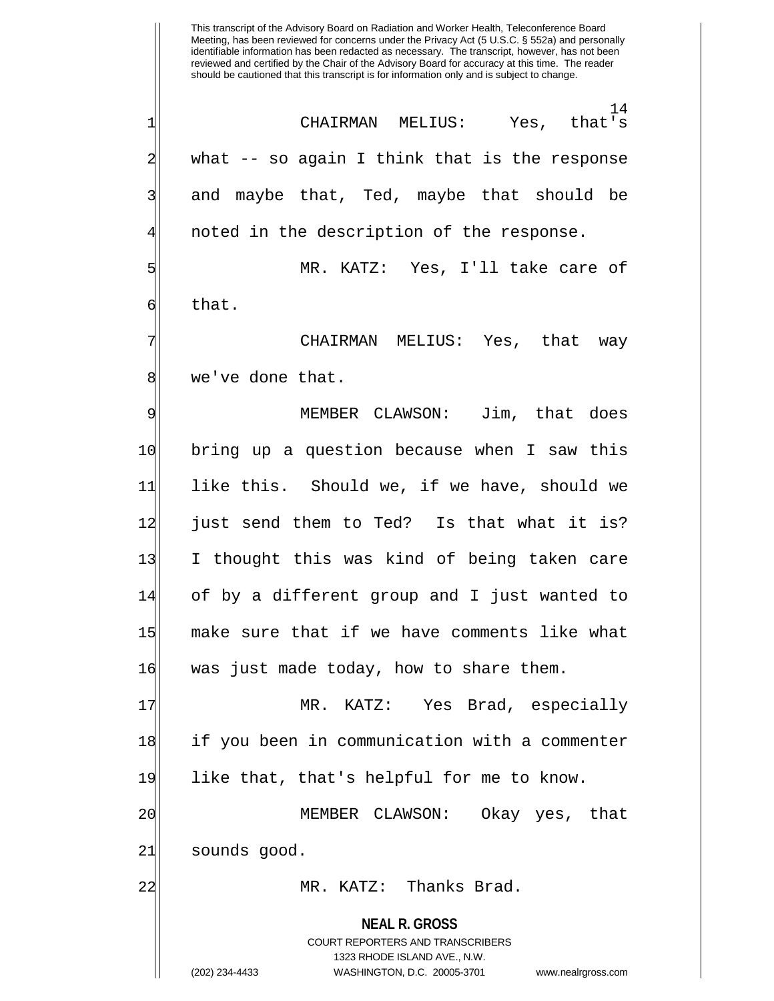**NEAL R. GROSS** COURT REPORTERS AND TRANSCRIBERS 1323 RHODE ISLAND AVE., N.W. (202) 234-4433 WASHINGTON, D.C. 20005-3701 www.nealrgross.com This transcript of the Advisory Board on Radiation and Worker Health, Teleconference Board Meeting, has been reviewed for concerns under the Privacy Act (5 U.S.C. § 552a) and personally identifiable information has been redacted as necessary. The transcript, however, has not been reviewed and certified by the Chair of the Advisory Board for accuracy at this time. The reader should be cautioned that this transcript is for information only and is subject to change. 14<br>that's 1 CHAIRMAN MELIUS: Yes, that's 2 what -- so again I think that is the response 3| and maybe that, Ted, maybe that should be noted in the description of the response. 5 MR. KATZ: Yes, I'll take care of  $6$  that. CHAIRMAN MELIUS: Yes, that way 8 | we've done that. 9 MEMBER CLAWSON: Jim, that does 10 bring up a question because when I saw this 11 like this. Should we, if we have, should we 12 just send them to Ted? Is that what it is? 13 I thought this was kind of being taken care 14 of by a different group and I just wanted to 15 make sure that if we have comments like what 16 was just made today, how to share them. 17 | MR. KATZ: Yes Brad, especially 18 if you been in communication with a commenter 19 like that, that's helpful for me to know. 20 MEMBER CLAWSON: Okay yes, that 21 sounds good. 22 MR. KATZ: Thanks Brad.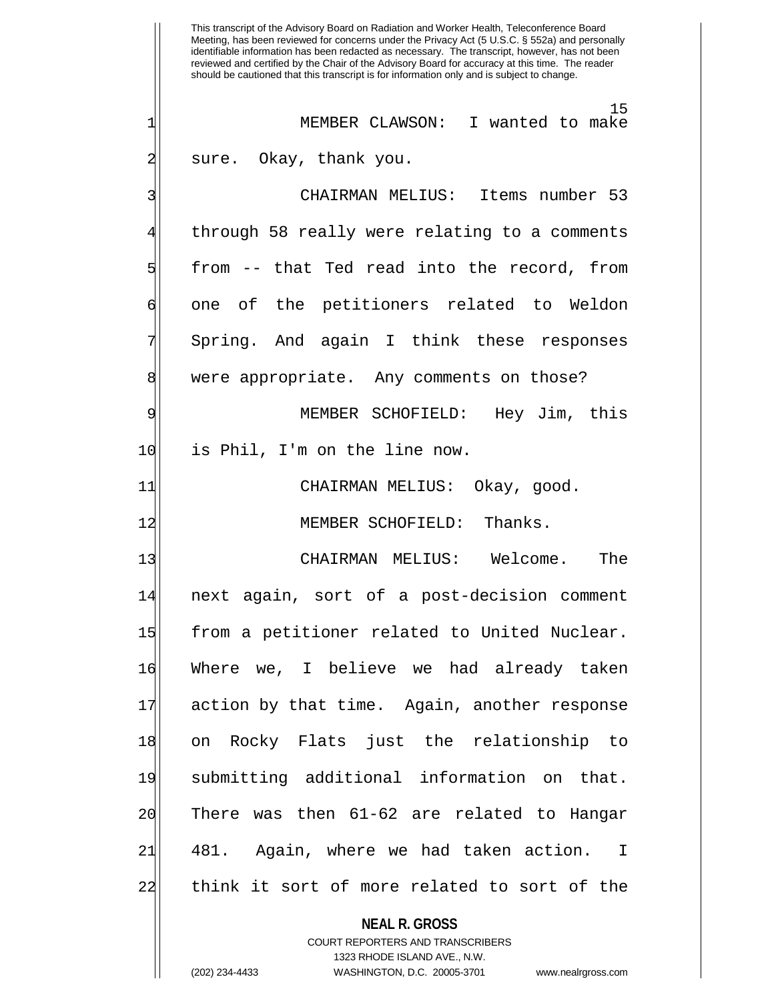**NEAL R. GROSS** COURT REPORTERS AND TRANSCRIBERS 1323 RHODE ISLAND AVE., N.W. This transcript of the Advisory Board on Radiation and Worker Health, Teleconference Board Meeting, has been reviewed for concerns under the Privacy Act (5 U.S.C. § 552a) and personally identifiable information has been redacted as necessary. The transcript, however, has not been reviewed and certified by the Chair of the Advisory Board for accuracy at this time. The reader should be cautioned that this transcript is for information only and is subject to change. 15 1 MEMBER CLAWSON: I wanted to make 2 sure. Okay, thank you. 3 CHAIRMAN MELIUS: Items number 53 through 58 really were relating to a comments  $5$  from  $-$  that Ted read into the record, from 6 one of the petitioners related to Weldon Spring. And again I think these responses 8 were appropriate. Any comments on those? 9 MEMBER SCHOFIELD: Hey Jim, this 10 is Phil, I'm on the line now. 11| CHAIRMAN MELIUS: Okay, good. 12 MEMBER SCHOFIELD: Thanks. 13 CHAIRMAN MELIUS: Welcome. The 14 next again, sort of a post-decision comment 15 from a petitioner related to United Nuclear. 16 Where we, I believe we had already taken 17 action by that time. Again, another response 18 on Rocky Flats just the relationship to 19 submitting additional information on that.  $20$  There was then  $61-62$  are related to Hangar 21 481. Again, where we had taken action. I 22 think it sort of more related to sort of the

(202) 234-4433 WASHINGTON, D.C. 20005-3701 www.nealrgross.com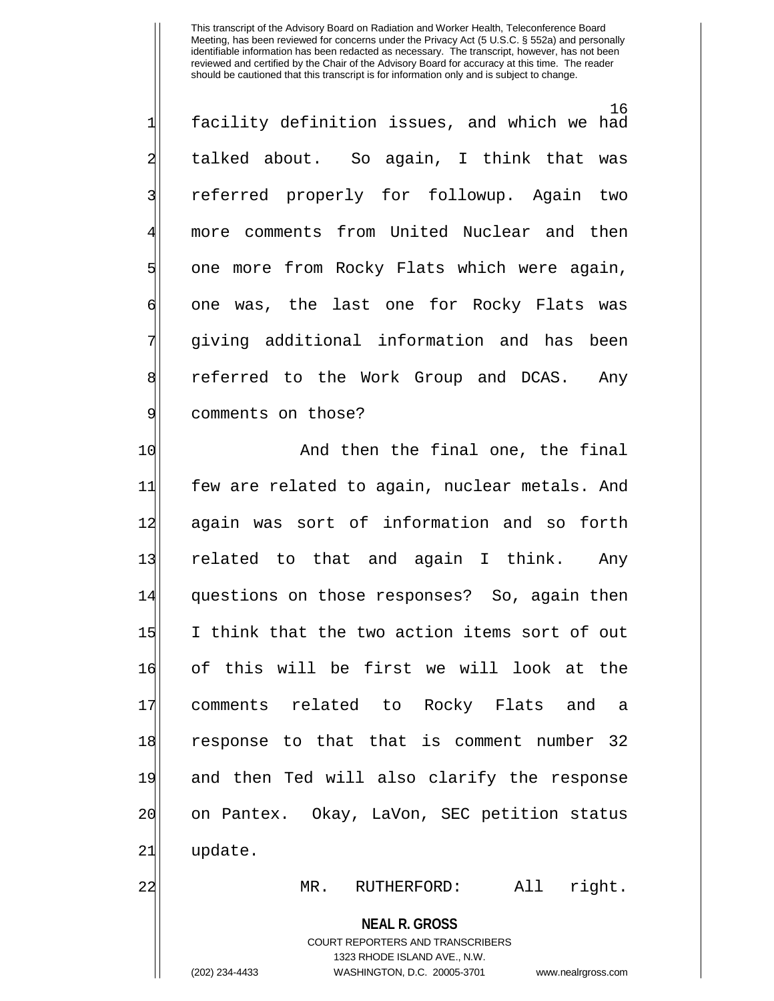16 1 facility definition issues, and which we had 2| talked about. So again, I think that was 3| referred properly for followup. Again two 4 more comments from United Nuclear and then 5 one more from Rocky Flats which were again, 6 one was, the last one for Rocky Flats was 7 giving additional information and has been 8 8 8 8 referred to the Work Group and DCAS. Any 9 comments on those?

10 And then the final one, the final 11 few are related to again, nuclear metals. And 12 again was sort of information and so forth 13 related to that and again I think. Any 14 questions on those responses? So, again then 15 I think that the two action items sort of out 16 of this will be first we will look at the 17 comments related to Rocky Flats and a 18 response to that that is comment number 32 19 and then Ted will also clarify the response 20 on Pantex. Okay, LaVon, SEC petition status 21 update.

22 MR. RUTHERFORD: All right.

### **NEAL R. GROSS**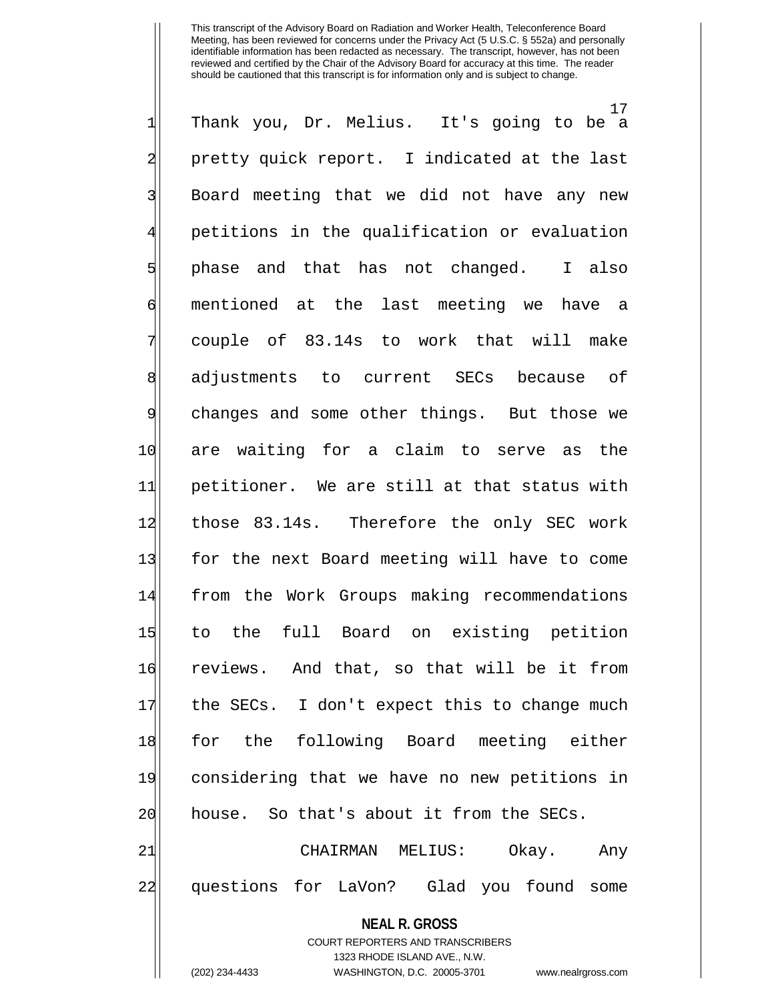<sup>17</sup><br>It's going to be a  $1$  Thank you, Dr. Melius. 2 pretty quick report. I indicated at the last 3 Board meeting that we did not have any new 4 petitions in the qualification or evaluation 5 phase and that has not changed. I also 6 mentioned at the last meeting we have a 7 couple of 83.14s to work that will make 8 adjustments to current SECs because of 9 changes and some other things. But those we 10 are waiting for a claim to serve as the 11 petitioner. We are still at that status with 12 those 83.14s. Therefore the only SEC work 13 for the next Board meeting will have to come 14 from the Work Groups making recommendations 15 to the full Board on existing petition 16 reviews. And that, so that will be it from 17 the SECs. I don't expect this to change much 18 for the following Board meeting either 19 considering that we have no new petitions in 20 house. So that's about it from the SECs. 21 CHAIRMAN MELIUS: Okay. Any 22 questions for LaVon? Glad you found some

#### **NEAL R. GROSS**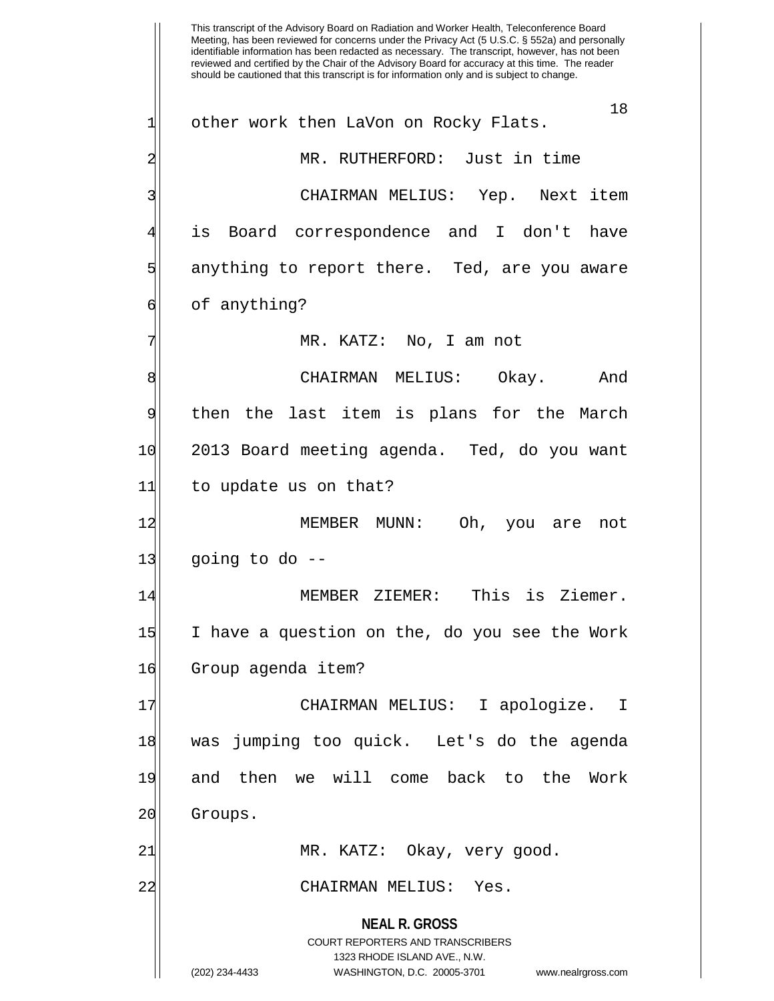**NEAL R. GROSS** COURT REPORTERS AND TRANSCRIBERS 1323 RHODE ISLAND AVE., N.W. (202) 234-4433 WASHINGTON, D.C. 20005-3701 www.nealrgross.com This transcript of the Advisory Board on Radiation and Worker Health, Teleconference Board Meeting, has been reviewed for concerns under the Privacy Act (5 U.S.C. § 552a) and personally identifiable information has been redacted as necessary. The transcript, however, has not been reviewed and certified by the Chair of the Advisory Board for accuracy at this time. The reader should be cautioned that this transcript is for information only and is subject to change. 18 1 other work then LaVon on Rocky Flats. 2 MR. RUTHERFORD: Just in time 3 CHAIRMAN MELIUS: Yep. Next item is Board correspondence and I don't have 5 5 5 5 5 anything to report there. Ted, are you aware 6 6 anything? MR. KATZ: No, I am not 8 | CHAIRMAN MELIUS: Okay. And 9 then the last item is plans for the March 10 2013 Board meeting agenda. Ted, do you want 11 to update us on that? 12 MEMBER MUNN: Oh, you are not  $13$  going to do  $-$ 14 MEMBER ZIEMER: This is Ziemer. 15 I have a question on the, do you see the Work 16 Group agenda item? 17 CHAIRMAN MELIUS: I apologize. I 18 was jumping too quick. Let's do the agenda 19 and then we will come back to the Work 20 Groups. 21| MR. KATZ: Okay, very good. 22 CHAIRMAN MELIUS: Yes.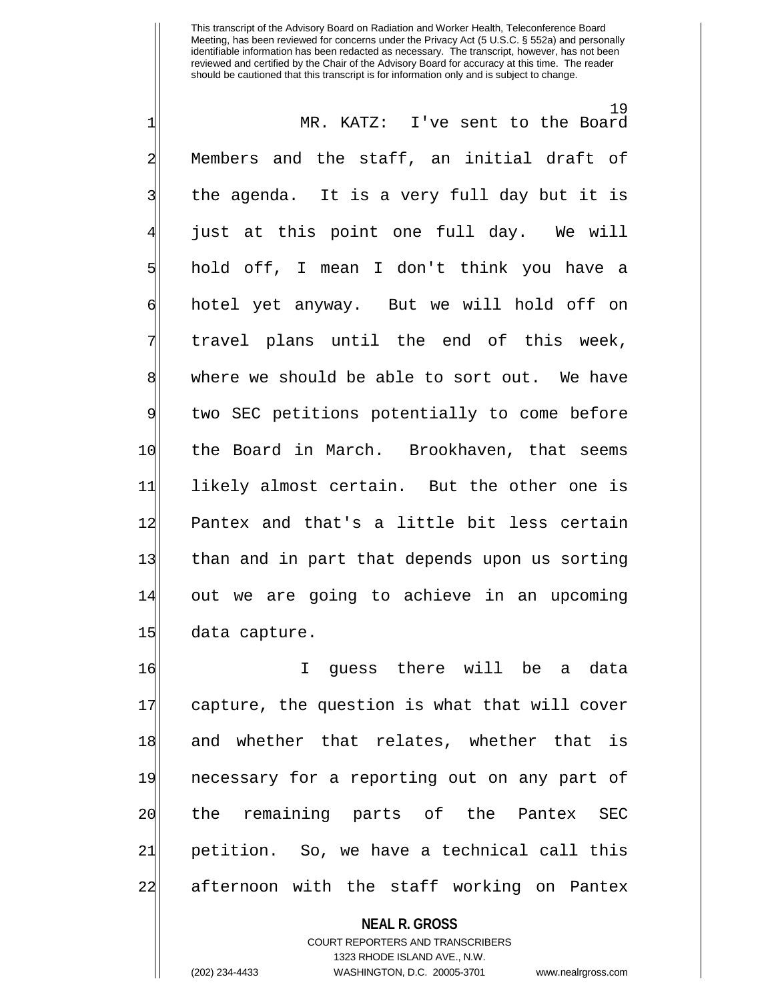19 1 MR. KATZ: I've sent to the Board 2 Members and the staff, an initial draft of 3| the agenda. It is a very full day but it is just at this point one full day. We will 5 hold off, I mean I don't think you have a 6 | hotel yet anyway. But we will hold off on 7 travel plans until the end of this week, 8 where we should be able to sort out. We have 9 two SEC petitions potentially to come before 10 the Board in March. Brookhaven, that seems 11 likely almost certain. But the other one is 12 Pantex and that's a little bit less certain 13 than and in part that depends upon us sorting 14 out we are going to achieve in an upcoming 15 data capture.

16 I guess there will be a data 17 capture, the question is what that will cover 18 and whether that relates, whether that is 19 necessary for a reporting out on any part of 20 the remaining parts of the Pantex SEC 21 petition. So, we have a technical call this 22 afternoon with the staff working on Pantex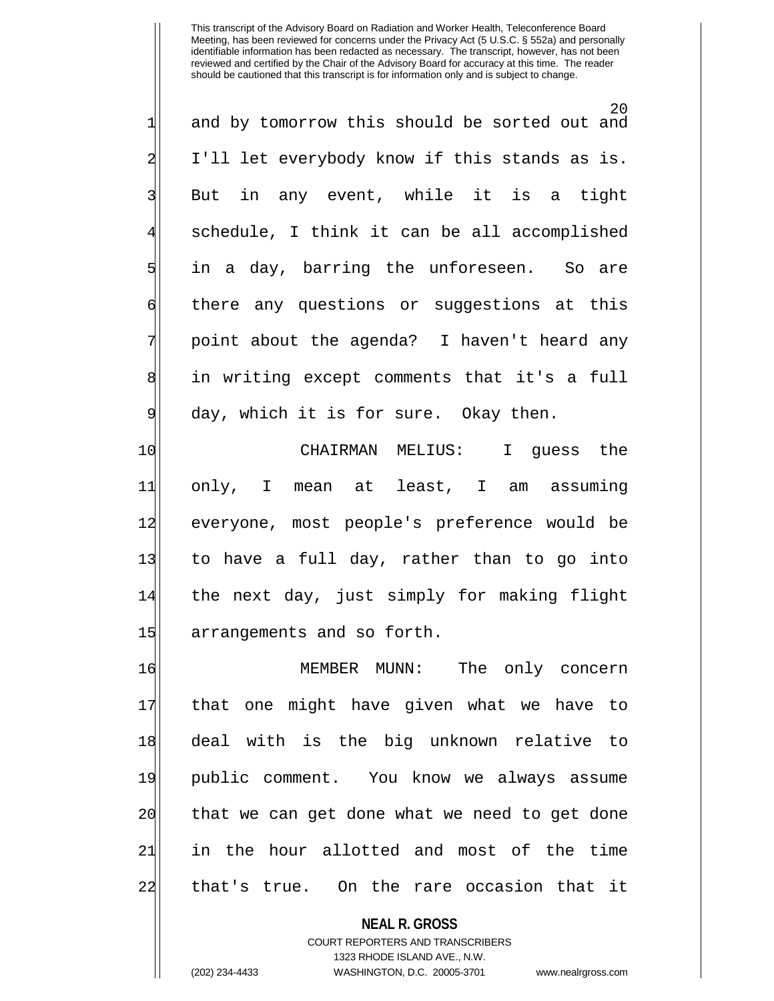20 1 and by tomorrow this should be sorted out and 2 I'll let everybody know if this stands as is. 3| But in any event, while it is a tight schedule, I think it can be all accomplished 5 in a day, barring the unforeseen. So are 6 6 6 6 any questions or suggestions at this 7 | point about the agenda? I haven't heard any 8 in writing except comments that it's a full 9 day, which it is for sure. Okay then.

10 CHAIRMAN MELIUS: I guess the 11 only, I mean at least, I am assuming 12 everyone, most people's preference would be 13 to have a full day, rather than to go into 14 the next day, just simply for making flight 15 arrangements and so forth.

16 MEMBER MUNN: The only concern 17 that one might have given what we have to 18 deal with is the big unknown relative to 19 public comment. You know we always assume 20 that we can get done what we need to get done 21 in the hour allotted and most of the time 22 that's true. On the rare occasion that it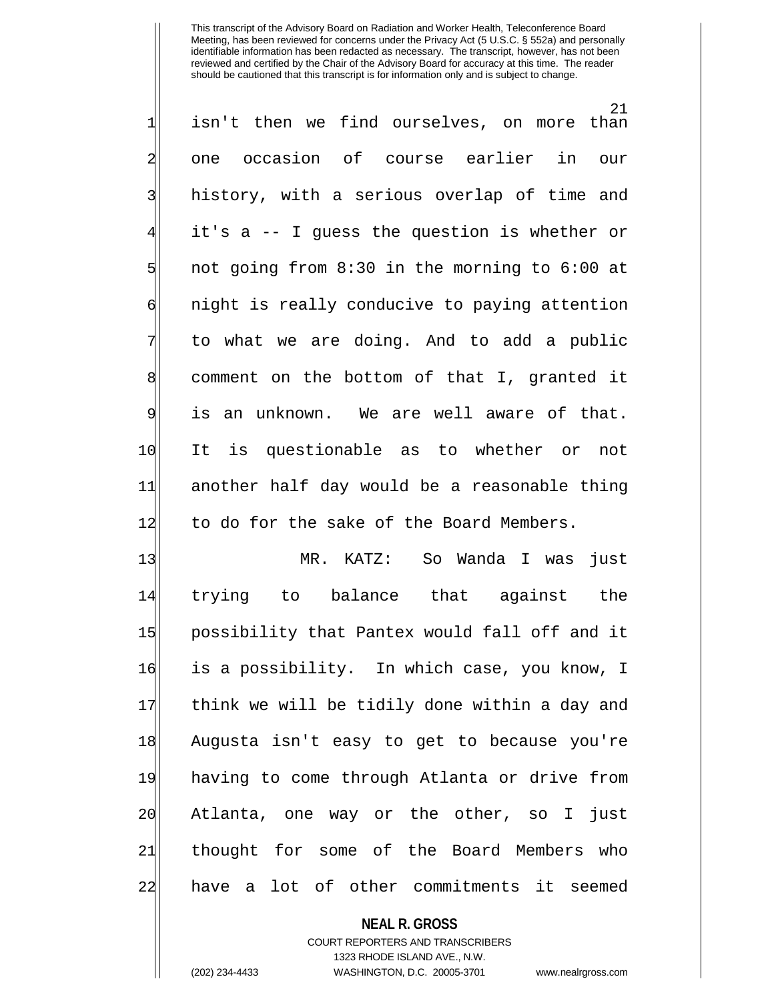21 1 isn't then we find ourselves, on more than 2 one occasion of course earlier in our 3| history, with a serious overlap of time and it's a -- I guess the question is whether or  $5$  not going from 8:30 in the morning to 6:00 at 6 6 6 night is really conducive to paying attention 7 to what we are doing. And to add a public 8 comment on the bottom of that I, granted it 9 is an unknown. We are well aware of that. 10 It is questionable as to whether or not 11 another half day would be a reasonable thing 12 to do for the sake of the Board Members.

13 MR. KATZ: So Wanda I was just 14 trying to balance that against the 15 possibility that Pantex would fall off and it 16 is a possibility. In which case, you know, I 17 think we will be tidily done within a day and 18 Augusta isn't easy to get to because you're 19 having to come through Atlanta or drive from 20 Atlanta, one way or the other, so I just 21 thought for some of the Board Members who 22 have a lot of other commitments it seemed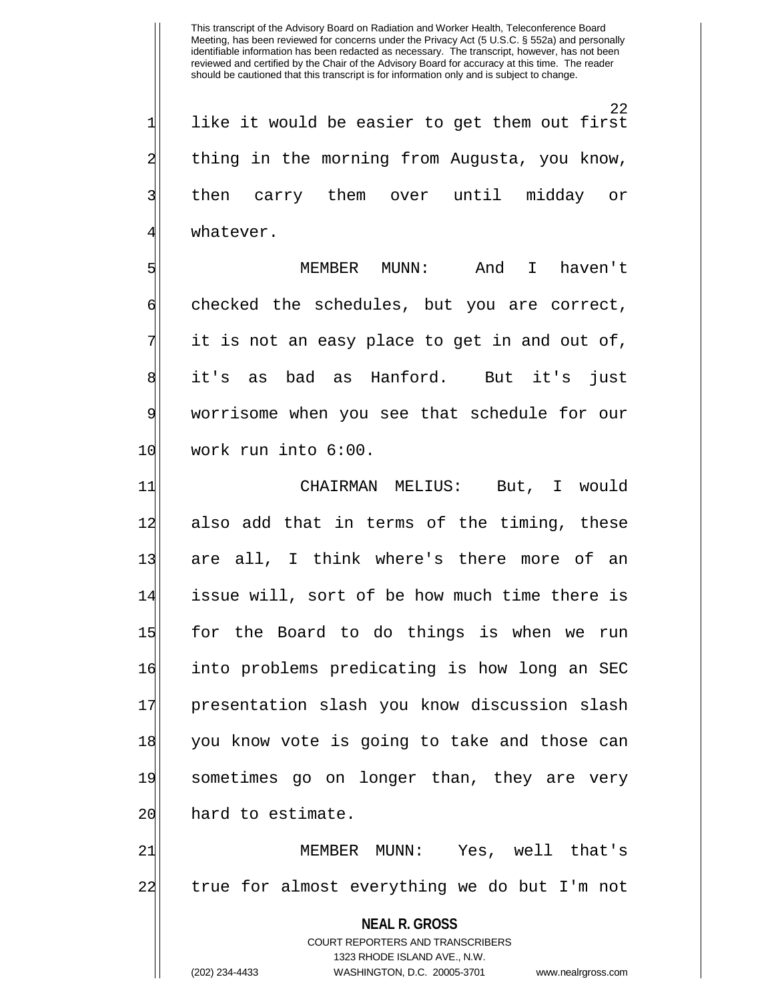22  $1$  like it would be easier to get them out first 2 thing in the morning from Augusta, you know, 3| then carry them over until midday or 41 whatever.

 MEMBER MUNN: And I haven't 6 checked the schedules, but you are correct, it is not an easy place to get in and out of, 8 it's as bad as Hanford. But it's just worrisome when you see that schedule for our work run into  $6:00$ .

11| CHAIRMAN MELIUS: But, I would 12 also add that in terms of the timing, these 13 are all, I think where's there more of an 14 issue will, sort of be how much time there is 15 for the Board to do things is when we run 16 into problems predicating is how long an SEC 17 presentation slash you know discussion slash 18 you know vote is going to take and those can 19 sometimes go on longer than, they are very 20 hard to estimate.

21 MEMBER MUNN: Yes, well that's 22 true for almost everything we do but I'm not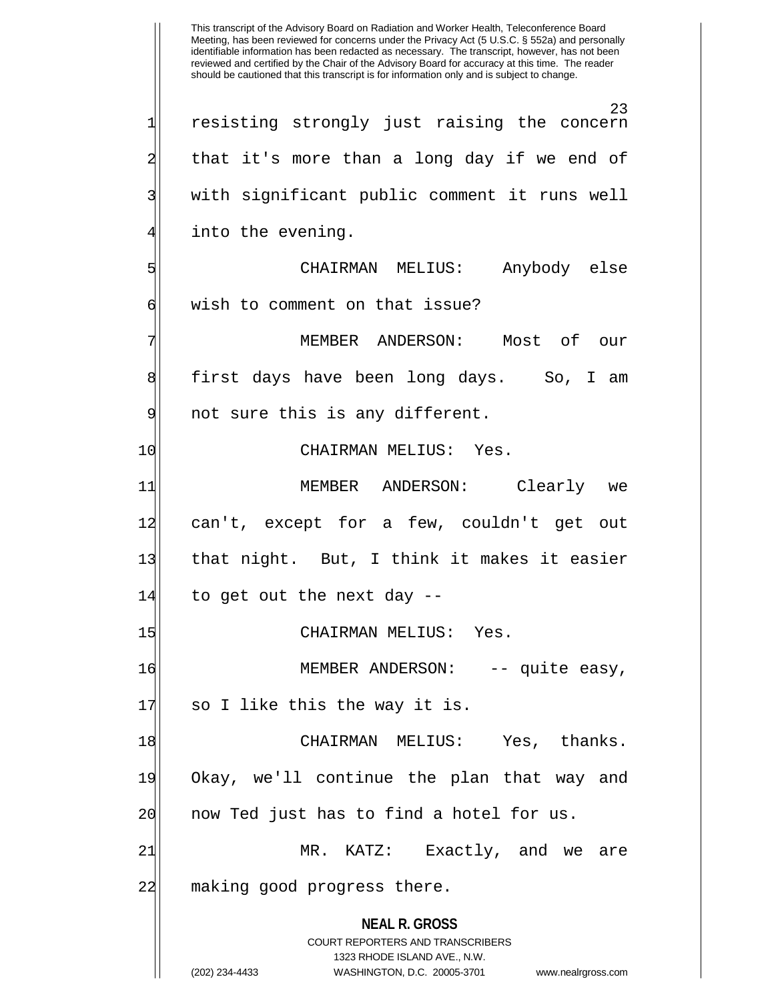**NEAL R. GROSS** COURT REPORTERS AND TRANSCRIBERS 1323 RHODE ISLAND AVE., N.W. (202) 234-4433 WASHINGTON, D.C. 20005-3701 www.nealrgross.com This transcript of the Advisory Board on Radiation and Worker Health, Teleconference Board Meeting, has been reviewed for concerns under the Privacy Act (5 U.S.C. § 552a) and personally identifiable information has been redacted as necessary. The transcript, however, has not been reviewed and certified by the Chair of the Advisory Board for accuracy at this time. The reader should be cautioned that this transcript is for information only and is subject to change. 23 1 resisting strongly just raising the concern 2 all that it's more than a long day if we end of 3| with significant public comment it runs well into the evening. 5 CHAIRMAN MELIUS: Anybody else 6 wish to comment on that issue? MEMBER ANDERSON: Most of our 8 first days have been long days. So, I am 9 9 not sure this is any different. 10 CHAIRMAN MELIUS: Yes. 11| MEMBER ANDERSON: Clearly we 12 can't, except for a few, couldn't get out 13 that night. But, I think it makes it easier  $14$  to get out the next day  $-$ 15 CHAIRMAN MELIUS: Yes. 16 MEMBER ANDERSON: -- quite easy, 17 so I like this the way it is. 18 CHAIRMAN MELIUS: Yes, thanks. 19 Okay, we'll continue the plan that way and 20 now Ted just has to find a hotel for us. 21 MR. KATZ: Exactly, and we are 22 making good progress there.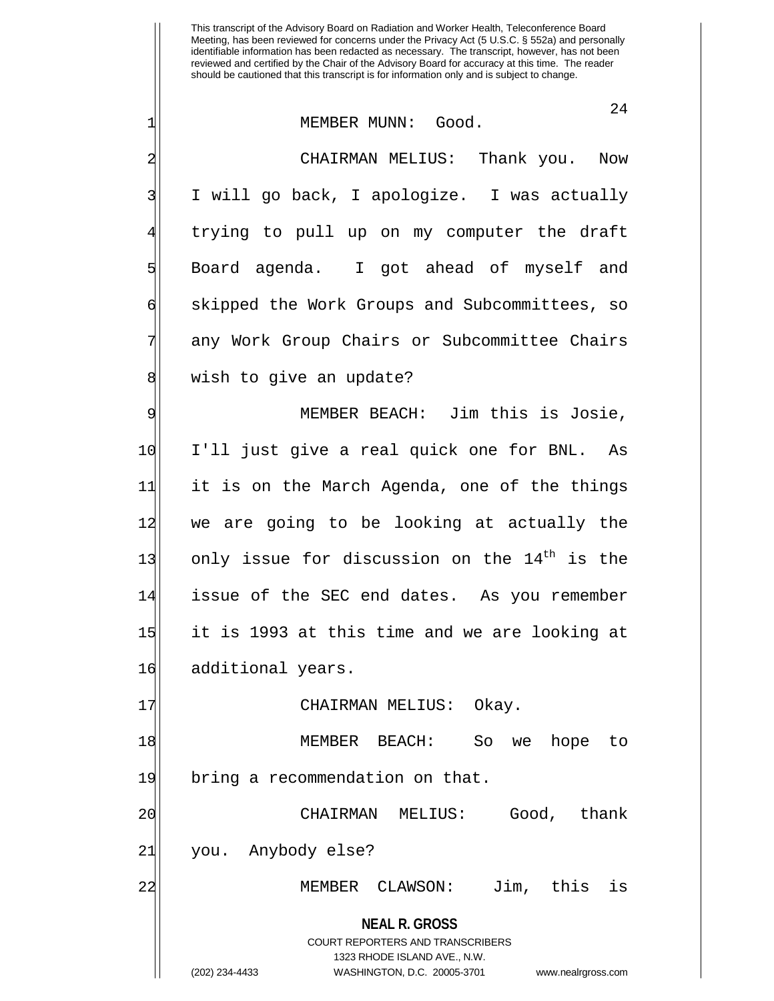#### 1 MEMBER MUNN: Good.

2 CHAIRMAN MELIUS: Thank you. Now 3| I will go back, I apologize. I was actually trying to pull up on my computer the draft 5 Board agenda. I got ahead of myself and 6 skipped the Work Groups and Subcommittees, so any Work Group Chairs or Subcommittee Chairs 8 | wish to give an update?

9 MEMBER BEACH: Jim this is Josie, 10 I'll just give a real quick one for BNL. As 11 it is on the March Agenda, one of the things 12 we are going to be looking at actually the 13| only issue for discussion on the  $14^{\text{th}}$  is the 14 issue of the SEC end dates. As you remember 15 it is 1993 at this time and we are looking at 16 additional years.

17 CHAIRMAN MELIUS: Okay.

18 MEMBER BEACH: So we hope to 19 bring a recommendation on that.

20 CHAIRMAN MELIUS: Good, thank 21 you. Anybody else?

22 MEMBER CLAWSON: Jim, this is

# **NEAL R. GROSS** COURT REPORTERS AND TRANSCRIBERS 1323 RHODE ISLAND AVE., N.W. (202) 234-4433 WASHINGTON, D.C. 20005-3701 www.nealrgross.com

24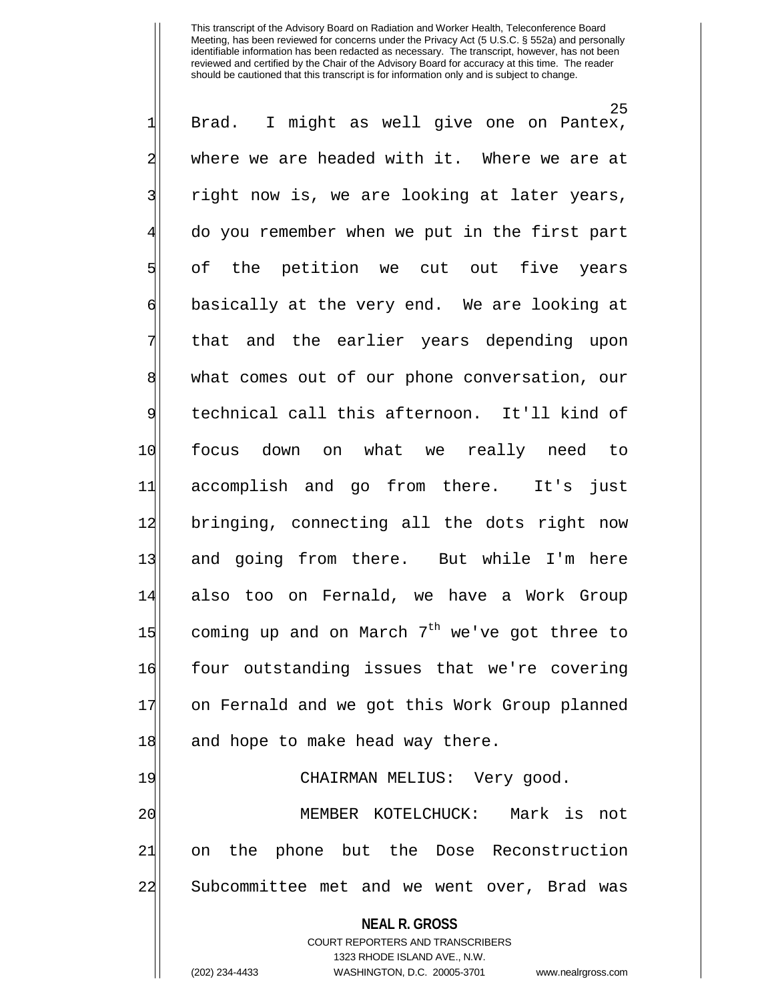**NEAL R. GROSS** COURT REPORTERS AND TRANSCRIBERS 1323 RHODE ISLAND AVE., N.W. 25  $1$  Brad. I might as well give one on Pantex, 2 where we are headed with it. Where we are at 3| right now is, we are looking at later years, 4 do you remember when we put in the first part 5 of the petition we cut out five years 6 basically at the very end. We are looking at 7 that and the earlier years depending upon 8 what comes out of our phone conversation, our 9 technical call this afternoon. It'll kind of 10 focus down on what we really need to 11 accomplish and go from there. It's just 12 bringing, connecting all the dots right now 13 and going from there. But while I'm here 14 also too on Fernald, we have a Work Group 15 coming up and on March  $7<sup>th</sup>$  we've got three to 16 four outstanding issues that we're covering 17 on Fernald and we got this Work Group planned 18 and hope to make head way there. 19 CHAIRMAN MELIUS: Very good. 20 MEMBER KOTELCHUCK: Mark is not 21 on the phone but the Dose Reconstruction 22| Subcommittee met and we went over, Brad was

(202) 234-4433 WASHINGTON, D.C. 20005-3701 www.nealrgross.com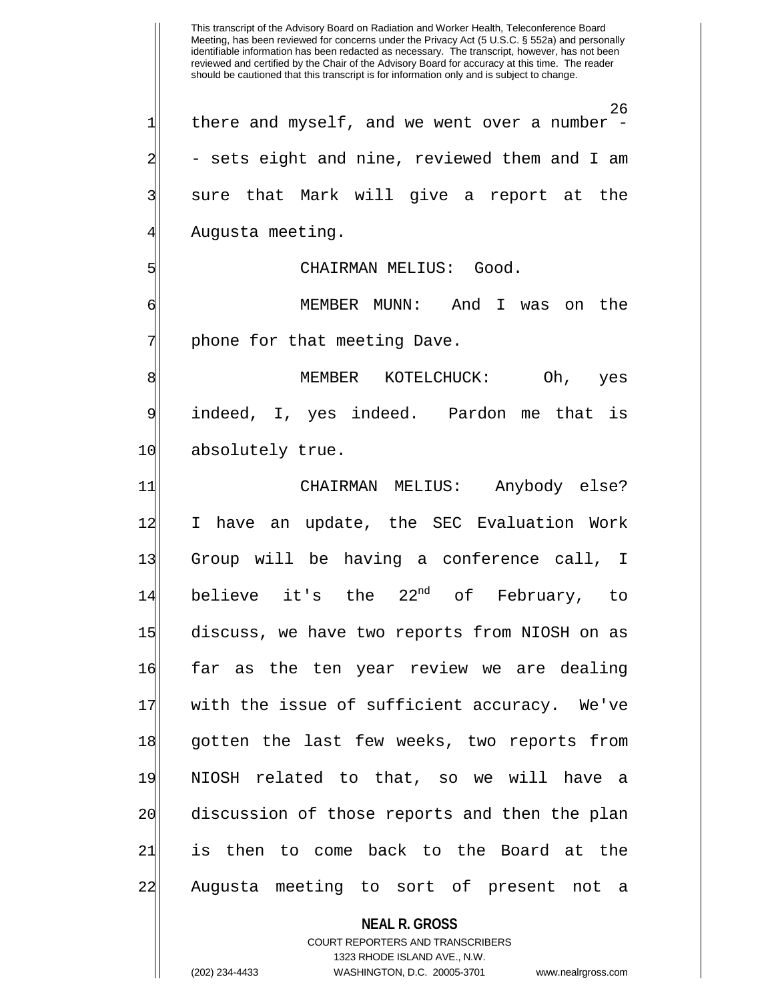**NEAL R. GROSS** This transcript of the Advisory Board on Radiation and Worker Health, Teleconference Board Meeting, has been reviewed for concerns under the Privacy Act (5 U.S.C. § 552a) and personally identifiable information has been redacted as necessary. The transcript, however, has not been reviewed and certified by the Chair of the Advisory Board for accuracy at this time. The reader should be cautioned that this transcript is for information only and is subject to change. 26  $1$  there and myself, and we went over a number -2|  $\,$  - sets eight and nine, reviewed them and I am 3| sure that Mark will give a report at the 4 Augusta meeting. 5 | SINGLES CHAIRMAN MELIUS: Good. 6 MEMBER MUNN: And I was on the 7 | phone for that meeting Dave. 8 MEMBER KOTELCHUCK: Oh, yes 9 indeed, I, yes indeed. Pardon me that is 10 absolutely true. 11 CHAIRMAN MELIUS: Anybody else? 12 I have an update, the SEC Evaluation Work 13| Group will be having a conference call, I 14 believe it's the  $22^{nd}$  of February, to 15 discuss, we have two reports from NIOSH on as 16 far as the ten year review we are dealing 17 with the issue of sufficient accuracy. We've 18 gotten the last few weeks, two reports from 19 NIOSH related to that, so we will have a 20 discussion of those reports and then the plan 21 is then to come back to the Board at the 22 Augusta meeting to sort of present not a

> COURT REPORTERS AND TRANSCRIBERS 1323 RHODE ISLAND AVE., N.W.

(202) 234-4433 WASHINGTON, D.C. 20005-3701 www.nealrgross.com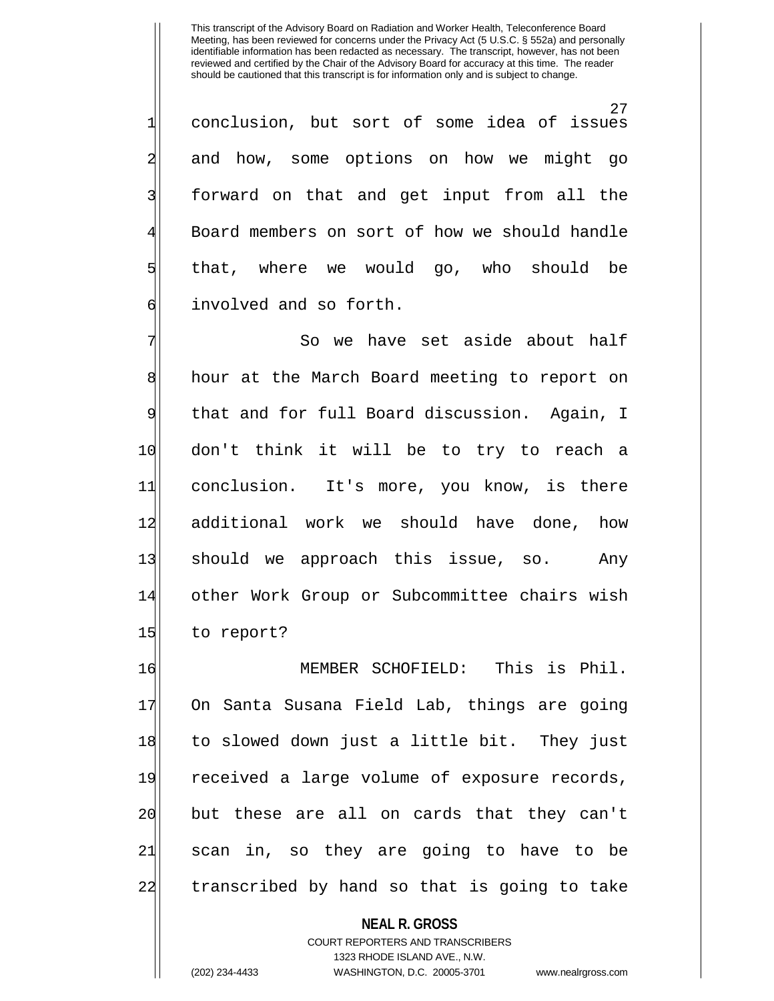27 1 conclusion, but sort of some idea of issues 2 and how, some options on how we might go 3| forward on that and get input from all the 4 Board members on sort of how we should handle 5 that, where we would go, who should be 6 6 involved and so forth.

So we have set aside about half 8 hour at the March Board meeting to report on 9 that and for full Board discussion. Again, I 10 don't think it will be to try to reach a 11 conclusion. It's more, you know, is there 12 additional work we should have done, how 13 should we approach this issue, so. Any 14 other Work Group or Subcommittee chairs wish 15 to report?

16 MEMBER SCHOFIELD: This is Phil. 17 On Santa Susana Field Lab, things are going 18 to slowed down just a little bit. They just 19 received a large volume of exposure records, 20 but these are all on cards that they can't 21 scan in, so they are going to have to be 22 transcribed by hand so that is going to take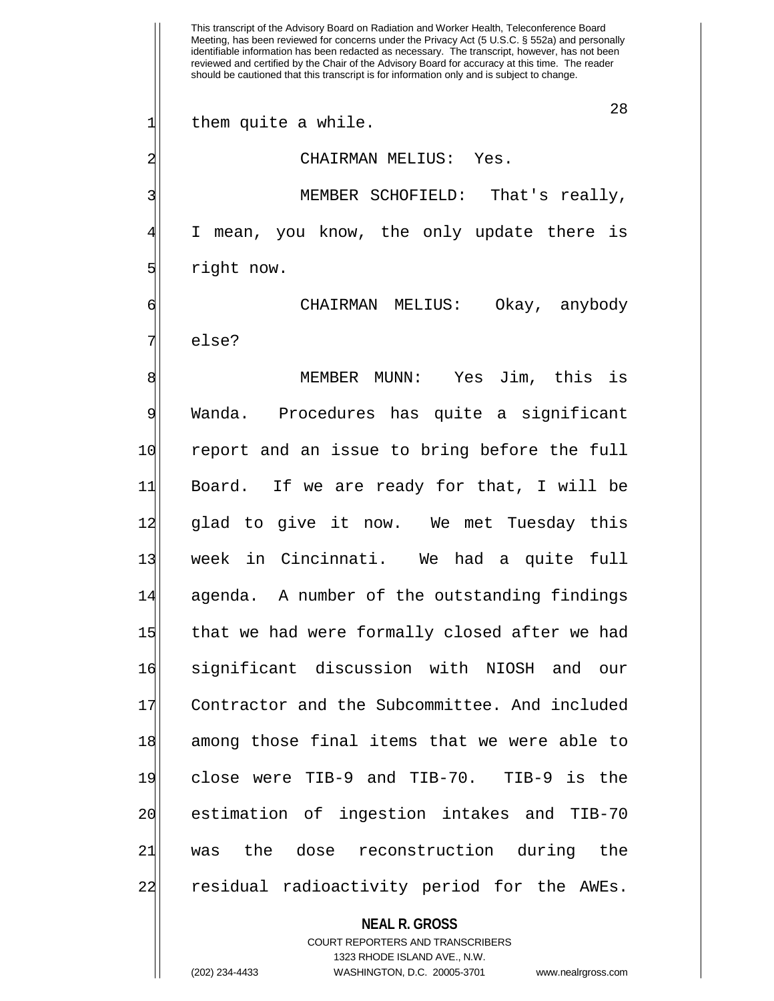This transcript of the Advisory Board on Radiation and Worker Health, Teleconference Board Meeting, has been reviewed for concerns under the Privacy Act (5 U.S.C. § 552a) and personally identifiable information has been redacted as necessary. The transcript, however, has not been reviewed and certified by the Chair of the Advisory Board for accuracy at this time. The reader should be cautioned that this transcript is for information only and is subject to change. 28 1 them quite a while. 2 CHAIRMAN MELIUS: Yes. 3 MEMBER SCHOFIELD: That's really, I mean, you know, the only update there is 5 sight now. 6 CHAIRMAN MELIUS: Okay, anybody 7| else? 8 MEMBER MUNN: Yes Jim, this is 9 Wanda. Procedures has quite a significant 10 report and an issue to bring before the full 11 Board. If we are ready for that, I will be 12 glad to give it now. We met Tuesday this 13| week in Cincinnati. We had a quite full 14 agenda. A number of the outstanding findings 15 that we had were formally closed after we had 16 significant discussion with NIOSH and our 17 Contractor and the Subcommittee. And included 18 among those final items that we were able to 19 close were TIB-9 and TIB-70. TIB-9 is the 20 estimation of ingestion intakes and TIB-70 21 was the dose reconstruction during the

**NEAL R. GROSS**

22 residual radioactivity period for the AWEs.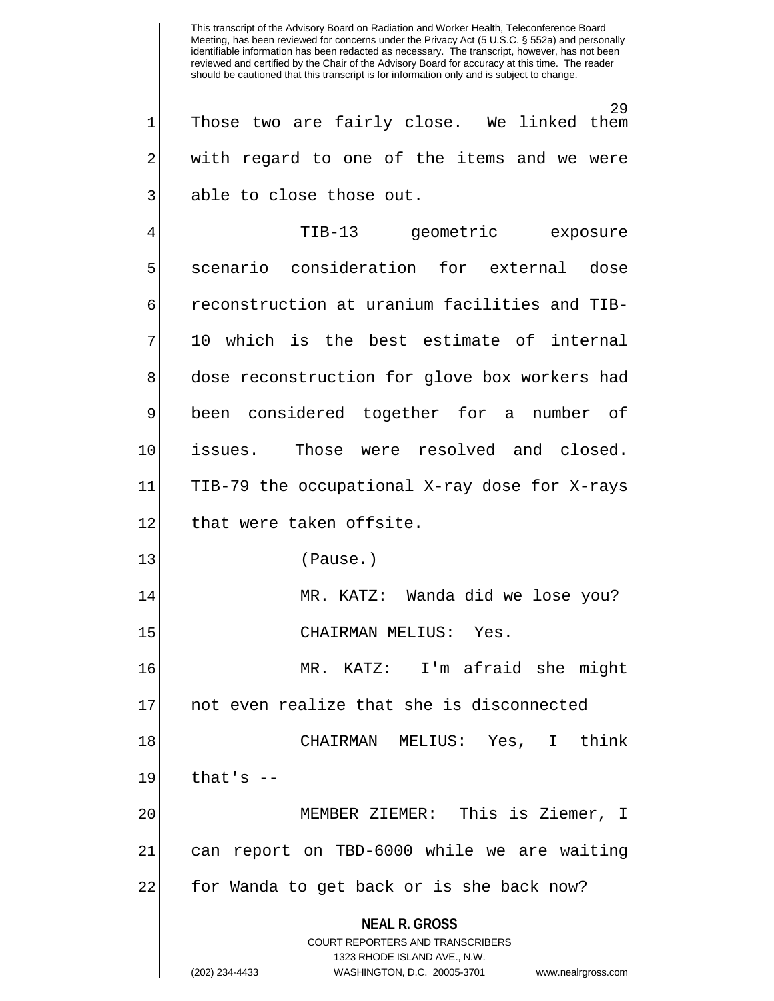29<br>We linked them  $1$  Those two are fairly close. 2| with regard to one of the items and we were 3| able to close those out.

**NEAL R. GROSS** COURT REPORTERS AND TRANSCRIBERS 1323 RHODE ISLAND AVE., N.W. (202) 234-4433 WASHINGTON, D.C. 20005-3701 www.nealrgross.com 4 TIB-13 geometric exposure 5 scenario consideration for external dose 6 reconstruction at uranium facilities and TIB-10 which is the best estimate of internal 8 dose reconstruction for glove box workers had 9 been considered together for a number of 10 issues. Those were resolved and closed. 11 TIB-79 the occupational X-ray dose for X-rays 12 that were taken offsite. 13 (Pause.) 14 MR. KATZ: Wanda did we lose you? 15 CHAIRMAN MELIUS: Yes. 16 MR. KATZ: I'm afraid she might 17 not even realize that she is disconnected 18 CHAIRMAN MELIUS: Yes, I think  $19$  that's  $-$ 20 MEMBER ZIEMER: This is Ziemer, I 21 can report on TBD-6000 while we are waiting 22 for Wanda to get back or is she back now?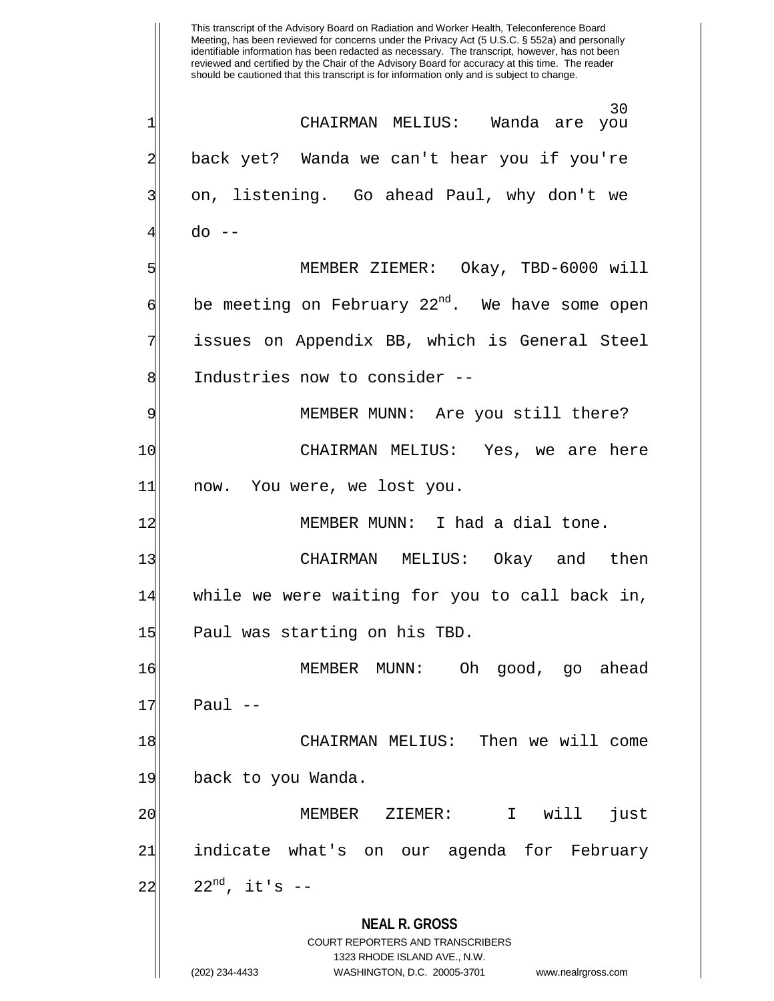**NEAL R. GROSS** COURT REPORTERS AND TRANSCRIBERS 1323 RHODE ISLAND AVE., N.W. (202) 234-4433 WASHINGTON, D.C. 20005-3701 www.nealrgross.com This transcript of the Advisory Board on Radiation and Worker Health, Teleconference Board Meeting, has been reviewed for concerns under the Privacy Act (5 U.S.C. § 552a) and personally identifiable information has been redacted as necessary. The transcript, however, has not been reviewed and certified by the Chair of the Advisory Board for accuracy at this time. The reader should be cautioned that this transcript is for information only and is subject to change. 30<br>Wanda are you 1| CHAIRMAN MELIUS: 2 back yet? Wanda we can't hear you if you're 3| on, listening. Go ahead Paul, why don't we 41 do --5 MEMBER ZIEMER: Okay, TBD-6000 will  $\left| \cdot \right|$  be meeting on February 22<sup>nd</sup>. We have some open 7 issues on Appendix BB, which is General Steel 8 8 Industries now to consider --9 MEMBER MUNN: Are you still there? 10 CHAIRMAN MELIUS: Yes, we are here 11 now. You were, we lost you. 12 MEMBER MUNN: I had a dial tone. 13 CHAIRMAN MELIUS: Okay and then 14 while we were waiting for you to call back in, 15 Paul was starting on his TBD. 16 MEMBER MUNN: Oh good, go ahead  $17$  Paul  $-$ 18 CHAIRMAN MELIUS: Then we will come 19 back to you Wanda. 20 MEMBER ZIEMER: I will just 21 indicate what's on our agenda for February  $22$ <sup>nd</sup>, it's  $-$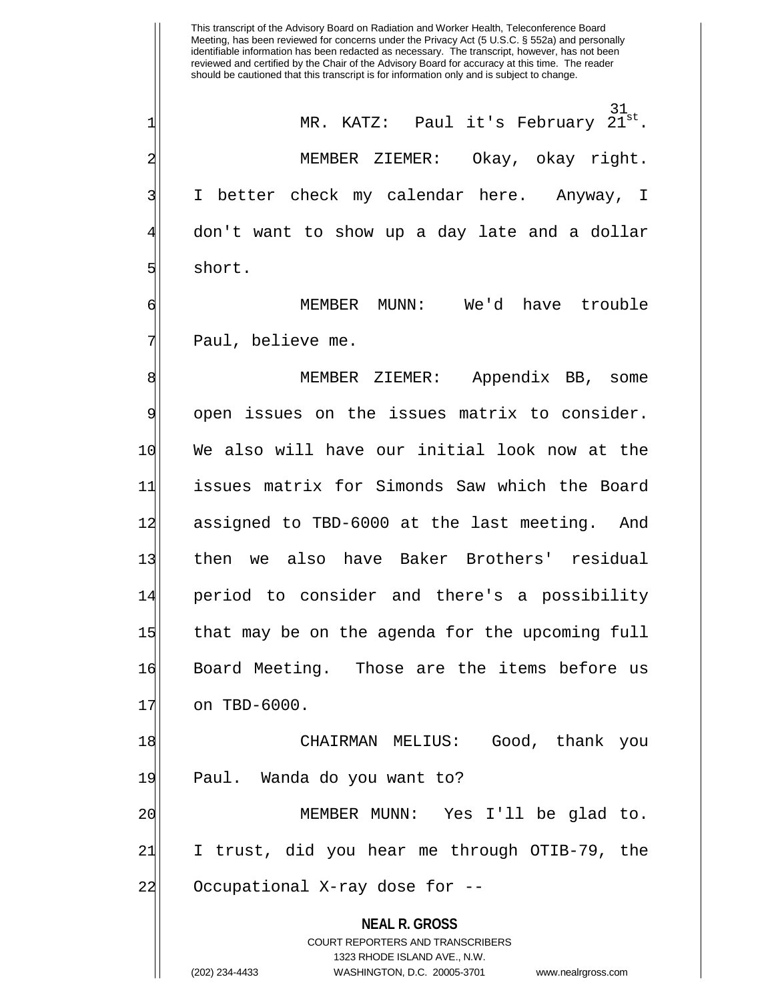This transcript of the Advisory Board on Radiation and Worker Health, Teleconference Board Meeting, has been reviewed for concerns under the Privacy Act (5 U.S.C. § 552a) and personally identifiable information has been redacted as necessary. The transcript, however, has not been reviewed and certified by the Chair of the Advisory Board for accuracy at this time. The reader should be cautioned that this transcript is for information only and is subject to change.  $21$ <sup>st</sup> 1 MR. KATZ: Paul it's February 2 MEMBER ZIEMER: Okay, okay right. 3| I better check my calendar here. Anyway, I 4 don't want to show up a day late and a dollar 5 short. 6 MEMBER MUNN: We'd have trouble 7| Paul, believe me. 8 MEMBER ZIEMER: Appendix BB, some 9 open issues on the issues matrix to consider. 10 We also will have our initial look now at the 11 issues matrix for Simonds Saw which the Board 12 assigned to TBD-6000 at the last meeting. And 13 then we also have Baker Brothers' residual 14 period to consider and there's a possibility 15 that may be on the agenda for the upcoming full 16 Board Meeting. Those are the items before us 17 on TBD-6000.

18 CHAIRMAN MELIUS: Good, thank you 19 Paul. Wanda do you want to? 20 MEMBER MUNN: Yes I'll be glad to. 21 I trust, did you hear me through OTIB-79, the

22 Occupational X-ray dose for --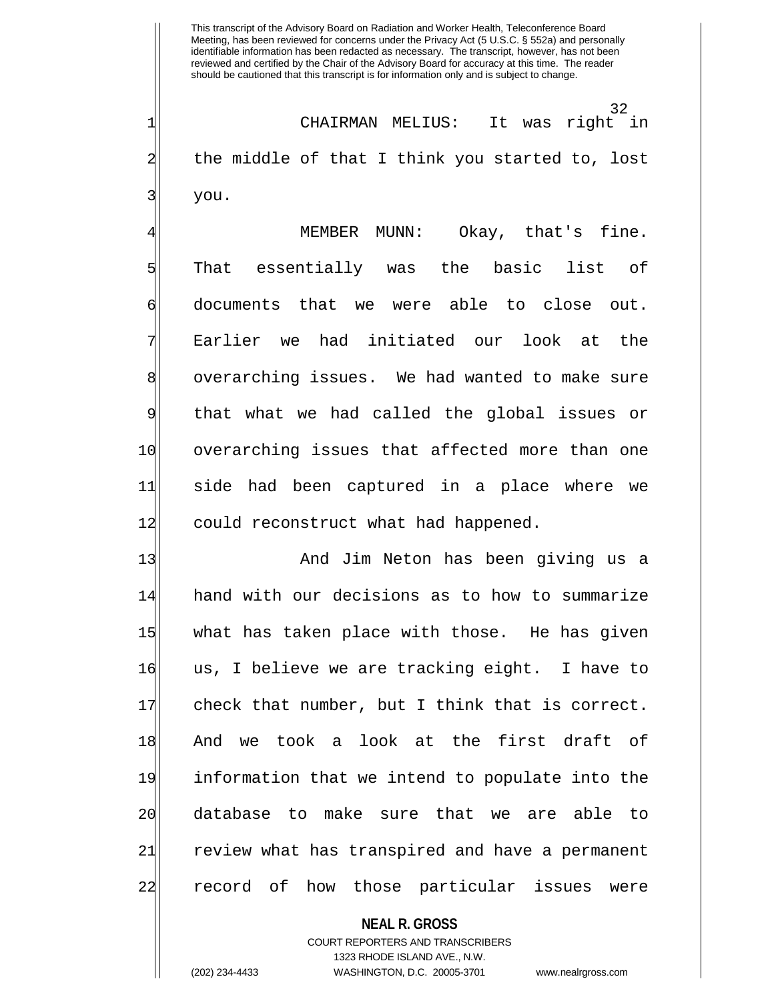32 1 CHAIRMAN MELIUS: It was right in 2 the middle of that I think you started to, lost 3| you.

MEMBER MUNN: Okay, that's fine. 5 | That essentially was the basic list of 6 documents that we were able to close out. 7 Earlier we had initiated our look at the 8 overarching issues. We had wanted to make sure 9 that what we had called the global issues or 10 overarching issues that affected more than one 11 side had been captured in a place where we 12 could reconstruct what had happened.

13 And Jim Neton has been giving us a 14 hand with our decisions as to how to summarize 15 what has taken place with those. He has given 16 us, I believe we are tracking eight. I have to 17 check that number, but I think that is correct. 18 And we took a look at the first draft of 19 information that we intend to populate into the 20 database to make sure that we are able to 21 review what has transpired and have a permanent 22 record of how those particular issues were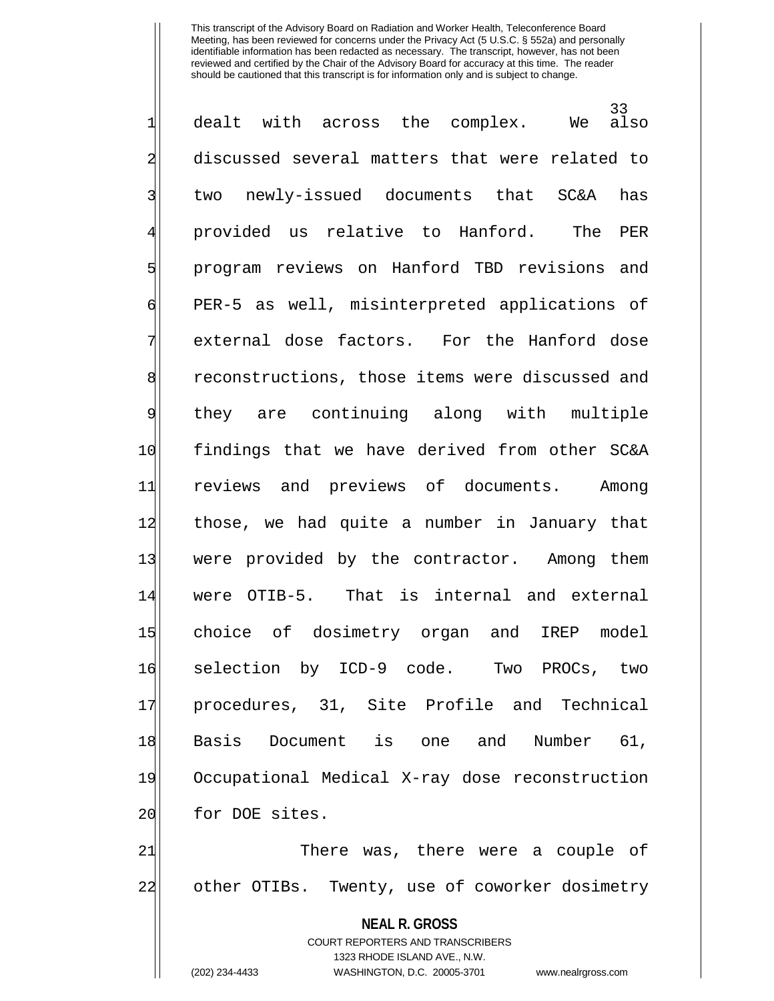33<br>also  $1$  dealt with across the complex. We 2 discussed several matters that were related to 3| two newly-issued documents that SC&A has 4 provided us relative to Hanford. The PER 5 | stop program reviews on Hanford TBD revisions and 6 PER-5 as well, misinterpreted applications of  $7$  external dose factors. For the Hanford dose 8 reconstructions, those items were discussed and 9 they are continuing along with multiple 10 findings that we have derived from other SC&A 11 reviews and previews of documents. Among 12 those, we had quite a number in January that 13 were provided by the contractor. Among them 14 were OTIB-5. That is internal and external 15 choice of dosimetry organ and IREP model 16 selection by ICD-9 code. Two PROCs, two 17 procedures, 31, Site Profile and Technical 18|| Basis Document is one and Number 61, 19 Occupational Medical X-ray dose reconstruction 20 for DOE sites.

21 There was, there were a couple of 22 other OTIBs. Twenty, use of coworker dosimetry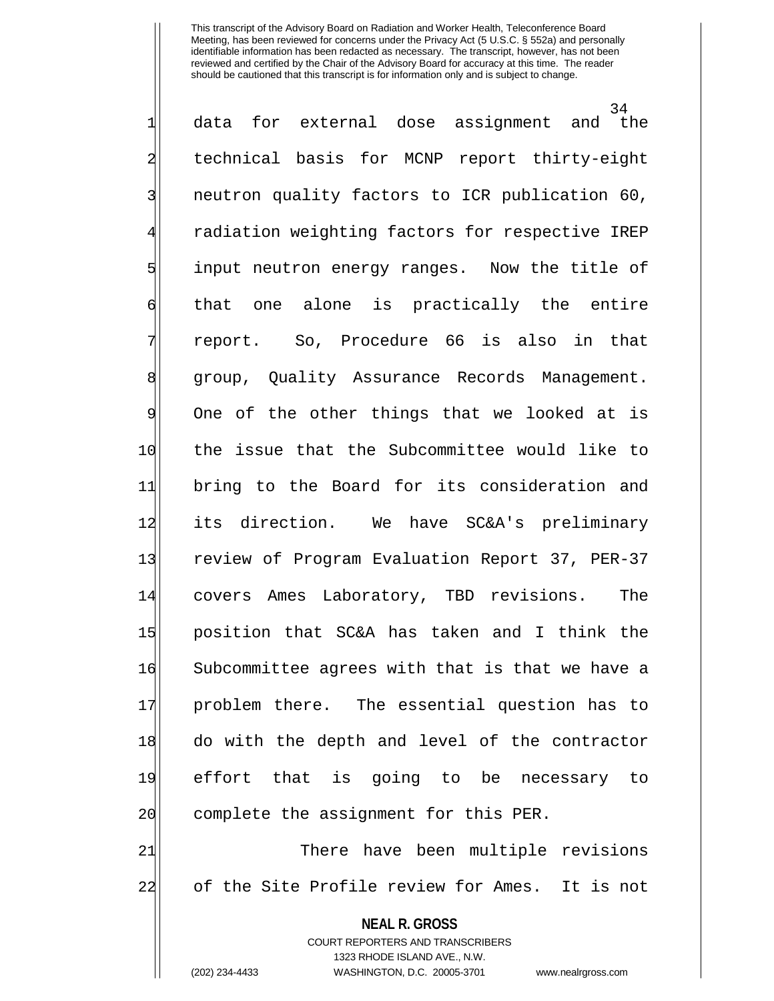34<br>the  $1$  data for external dose assignment and 2 technical basis for MCNP report thirty-eight 3 | neutron quality factors to ICR publication 60, radiation weighting factors for respective IREP 5 s 5 input neutron energy ranges. Now the title of 6 that one alone is practically the entire 7 report. So, Procedure 66 is also in that 8 group, Quality Assurance Records Management. 9 One of the other things that we looked at is 10 the issue that the Subcommittee would like to 11 bring to the Board for its consideration and 12 its direction. We have SC&A's preliminary 13 review of Program Evaluation Report 37, PER-37 14 covers Ames Laboratory, TBD revisions. The 15 position that SC&A has taken and I think the 16 Subcommittee agrees with that is that we have a 17 problem there. The essential question has to 18 do with the depth and level of the contractor 19 effort that is going to be necessary to 20 complete the assignment for this PER. 21 There have been multiple revisions

22 of the Site Profile review for Ames. It is not

**NEAL R. GROSS**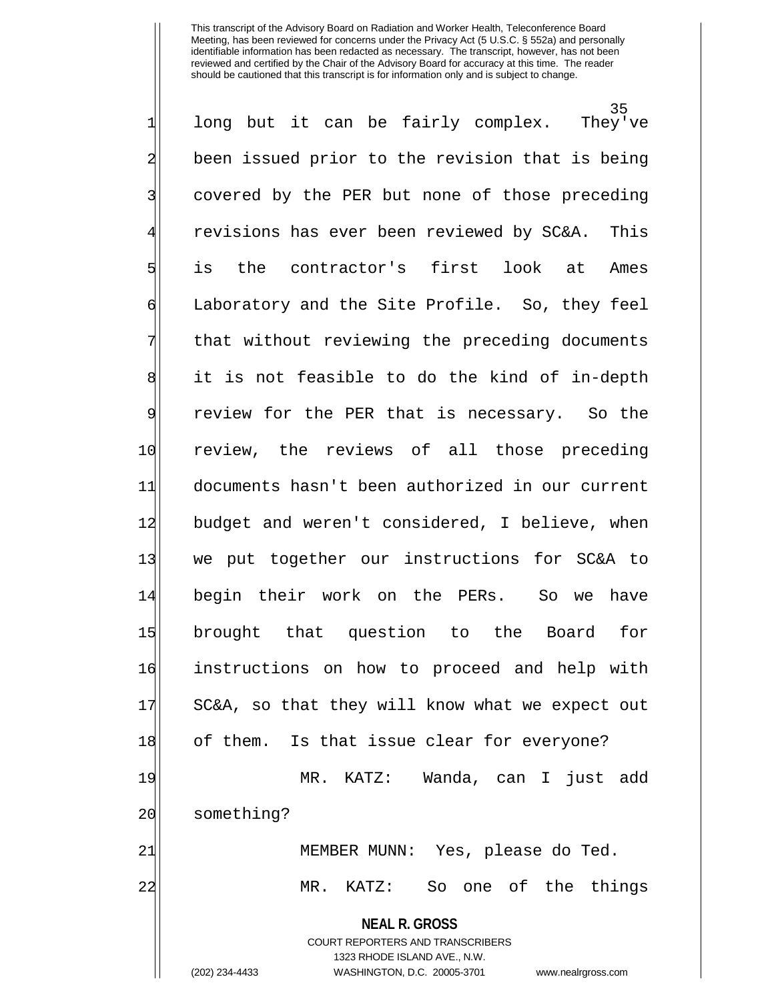**NEAL R. GROSS** COURT REPORTERS AND TRANSCRIBERS 35<br>They've  $1$  long but it can be fairly complex. 2 been issued prior to the revision that is being 3 covered by the PER but none of those preceding 4 revisions has ever been reviewed by SC&A. This 5 is the contractor's first look at Ames 6 Laboratory and the Site Profile. So, they feel 7 that without reviewing the preceding documents 8 it is not feasible to do the kind of in-depth 9 review for the PER that is necessary. So the 10 review, the reviews of all those preceding 11 documents hasn't been authorized in our current 12 budget and weren't considered, I believe, when 13 we put together our instructions for SC&A to 14 begin their work on the PERs. So we have 15 brought that question to the Board for 16 instructions on how to proceed and help with 17 SC&A, so that they will know what we expect out 18 of them. Is that issue clear for everyone? 19 MR. KATZ: Wanda, can I just add 20 something? 21 MEMBER MUNN: Yes, please do Ted. 22 MR. KATZ: So one of the things

1323 RHODE ISLAND AVE., N.W.

(202) 234-4433 WASHINGTON, D.C. 20005-3701 www.nealrgross.com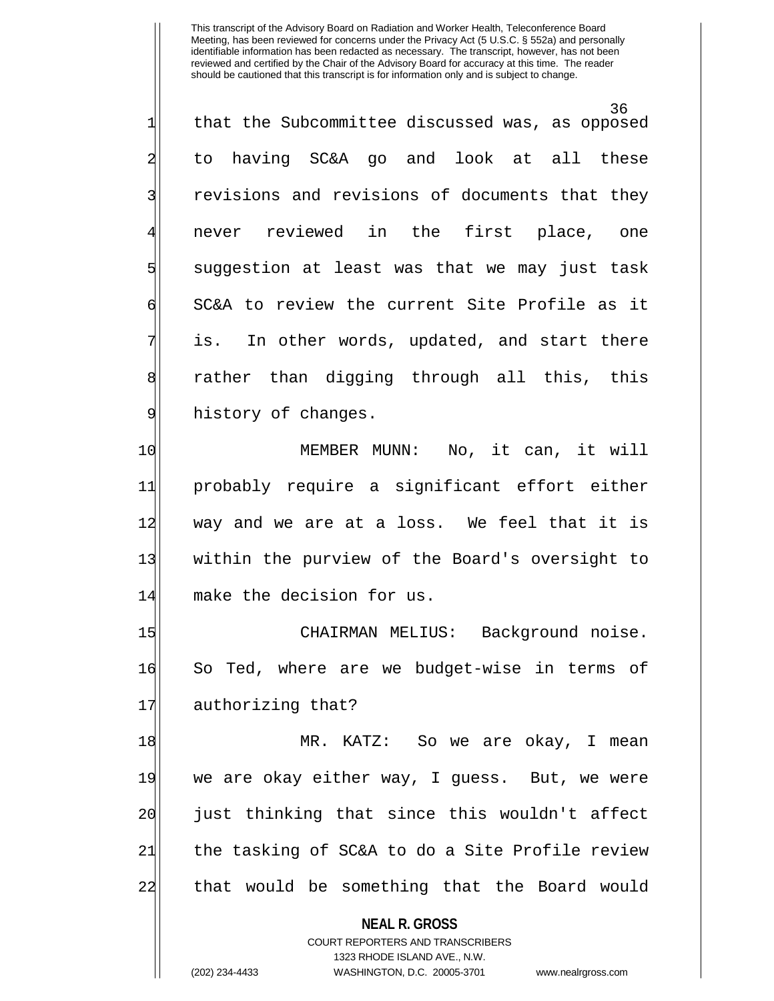36 1 that the Subcommittee discussed was, as opposed 2 to having SC&A go and look at all these 3 31 revisions and revisions of documents that they 4 never reviewed in the first place, one 5 suggestion at least was that we may just task 6 SC&A to review the current Site Profile as it  $7$  is. In other words, updated, and start there 8 rather than digging through all this, this 9 history of changes.

10 MEMBER MUNN: No, it can, it will 11 probably require a significant effort either 12 way and we are at a loss. We feel that it is 13 within the purview of the Board's oversight to 14 make the decision for us.

15 CHAIRMAN MELIUS: Background noise. 16 So Ted, where are we budget-wise in terms of 17 authorizing that?

18 MR. KATZ: So we are okay, I mean 19 we are okay either way, I guess. But, we were 20 just thinking that since this wouldn't affect 21 the tasking of SC&A to do a Site Profile review 22 that would be something that the Board would

**NEAL R. GROSS**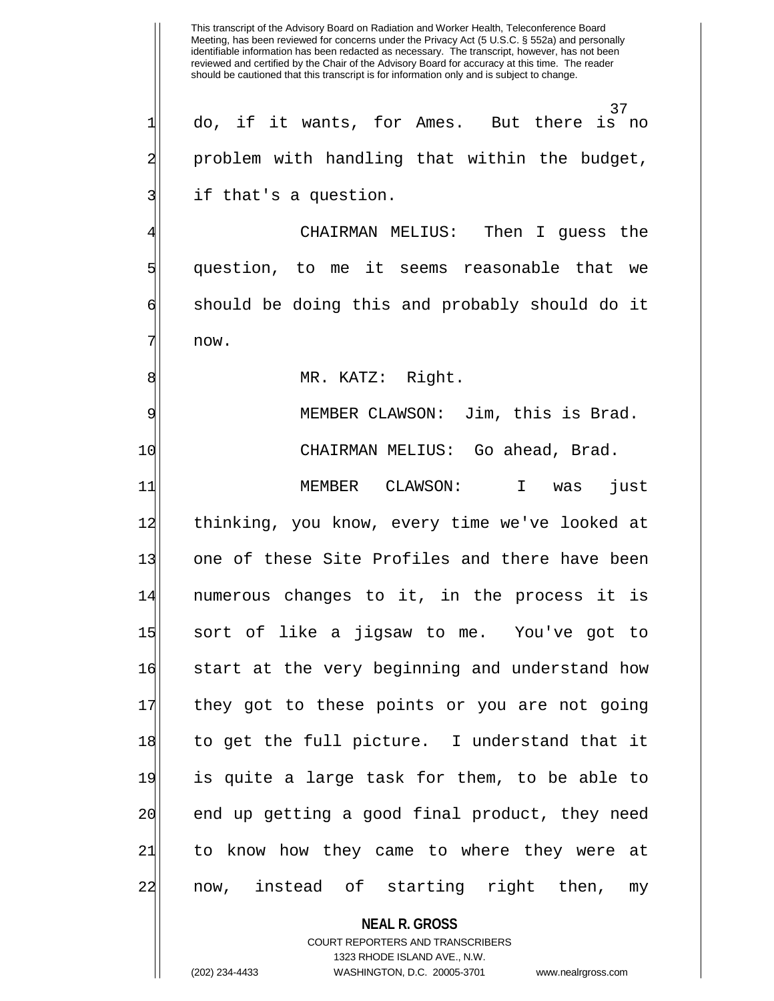37<br>But there is no do, if it wants, for Ames. problem with handling that within the budget, if that's a question.

CHAIRMAN MELIUS: Then I quess the 5 question, to me it seems reasonable that we 6 should be doing this and probably should do it 7 now.

8 MR. KATZ: Right.

9| MEMBER CLAWSON: Jim, this is Brad. 10 CHAIRMAN MELIUS: Go ahead, Brad.

11 MEMBER CLAWSON: I was just 12 thinking, you know, every time we've looked at 13 one of these Site Profiles and there have been 14 | numerous changes to it, in the process it is 15 sort of like a jigsaw to me. You've got to 16 start at the very beginning and understand how 17 they got to these points or you are not going 18 to get the full picture. I understand that it 19 is quite a large task for them, to be able to 20 end up getting a good final product, they need 21 to know how they came to where they were at 22 now, instead of starting right then, my

# **NEAL R. GROSS**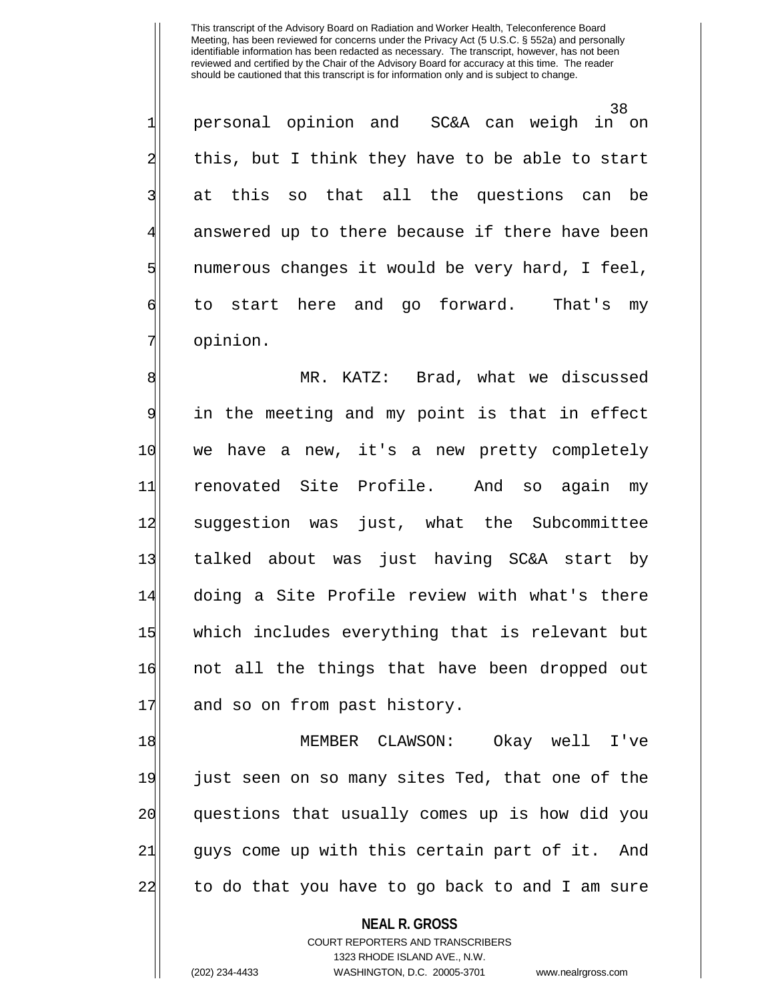38<br>in on 1 personal opinion and SC&A can weigh  $2$  this, but I think they have to be able to start 3| at this so that all the questions can be answered up to there because if there have been  $5$  numerous changes it would be very hard, I feel, 6 to start here and go forward. That's my 7| opinion.

8 MR. KATZ: Brad, what we discussed 9 in the meeting and my point is that in effect 10 we have a new, it's a new pretty completely 11 renovated Site Profile. And so again my 12 suggestion was just, what the Subcommittee 13 talked about was just having SC&A start by 14 doing a Site Profile review with what's there 15 which includes everything that is relevant but 16 not all the things that have been dropped out 17 and so on from past history.

18 MEMBER CLAWSON: Okay well I've 19 just seen on so many sites Ted, that one of the 20 questions that usually comes up is how did you 21 guys come up with this certain part of it. And 22 to do that you have to go back to and I am sure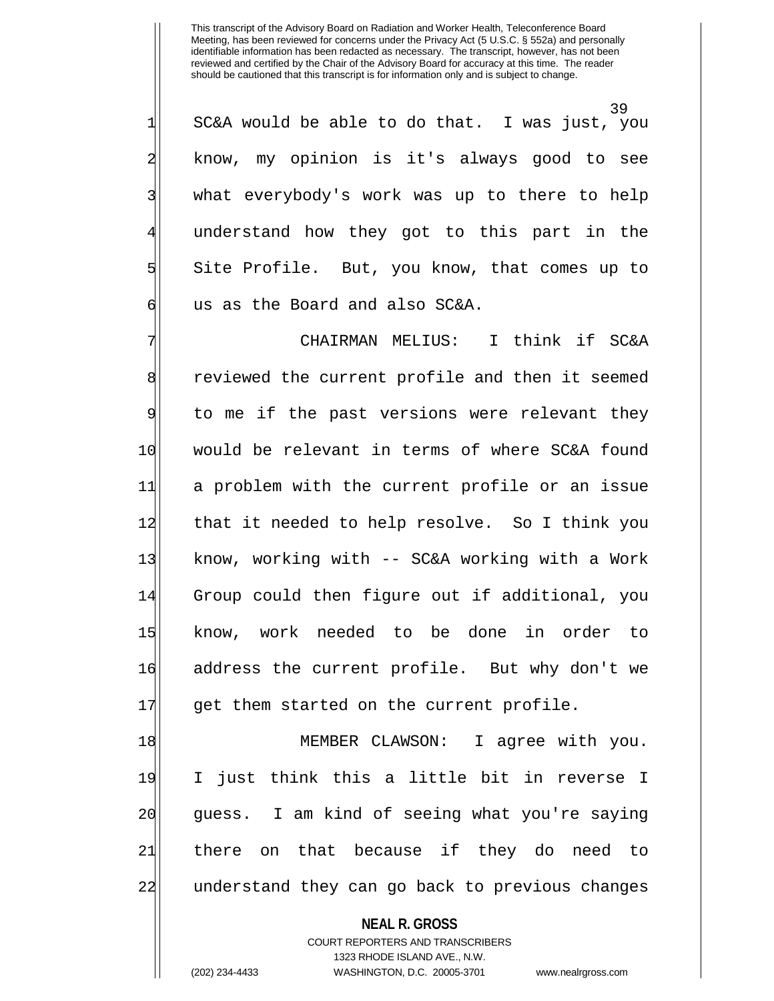39 1 SC&A would be able to do that. I was just, you 2 know, my opinion is it's always good to see 3| what everybody's work was up to there to help understand how they got to this part in the 5 Site Profile. But, you know, that comes up to 6 6 dollary us as the Board and also SC&A.

7 | Think if SC&A CHAIRMAN MELIUS: I think if SC&A 8 8 8 8 reviewed the current profile and then it seemed 9 to me if the past versions were relevant they 10 would be relevant in terms of where SC&A found 11 a problem with the current profile or an issue 12 that it needed to help resolve. So I think you 13 know, working with -- SC&A working with a Work 14 Group could then figure out if additional, you 15 know, work needed to be done in order to 16 address the current profile. But why don't we 17 get them started on the current profile.

18 MEMBER CLAWSON: I agree with you. 19 I just think this a little bit in reverse I 20 guess. I am kind of seeing what you're saying 21 there on that because if they do need to 22 anderstand they can go back to previous changes

**NEAL R. GROSS**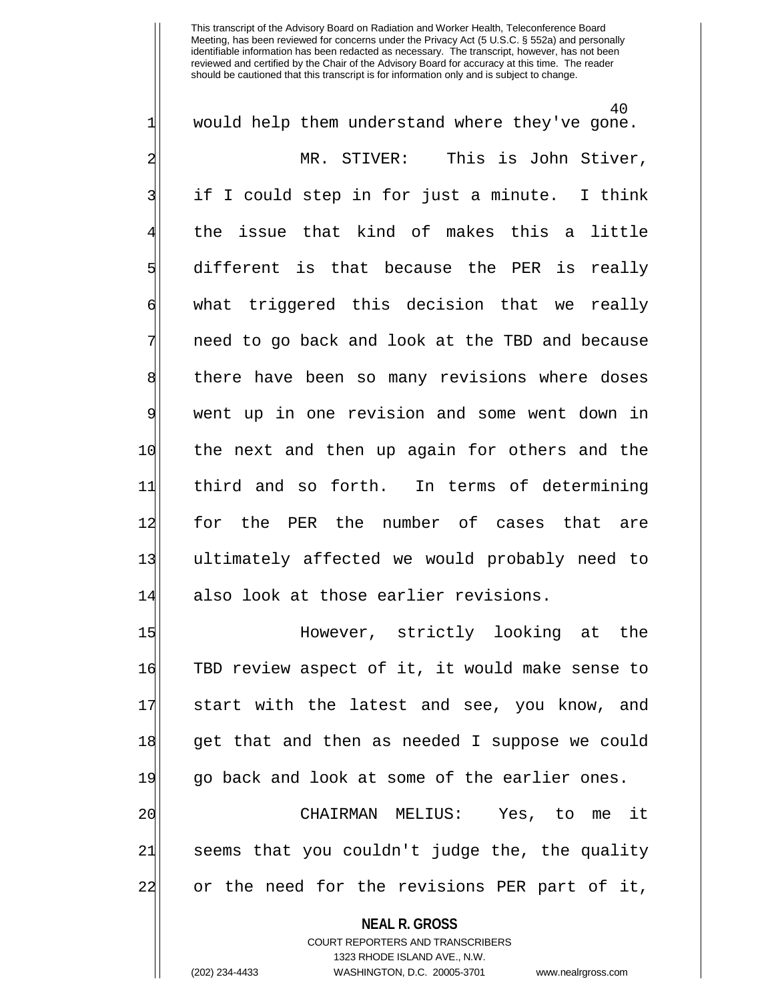40  $1$  would help them understand where they've gone. 2 MR. STIVER: This is John Stiver, 3| if I could step in for just a minute. I think 4 the issue that kind of makes this a little 5 different is that because the PER is really 6 What triggered this decision that we really 7 need to go back and look at the TBD and because 8 | there have been so many revisions where doses 9 went up in one revision and some went down in 10 the next and then up again for others and the 11 third and so forth. In terms of determining 12 for the PER the number of cases that are 13 ultimately affected we would probably need to 14 also look at those earlier revisions. 15 However, strictly looking at the 16 TBD review aspect of it, it would make sense to 17 start with the latest and see, you know, and 18 get that and then as needed I suppose we could 19 go back and look at some of the earlier ones. 20 CHAIRMAN MELIUS: Yes, to me it 21 seems that you couldn't judge the, the quality 22 or the need for the revisions PER part of it,

**NEAL R. GROSS**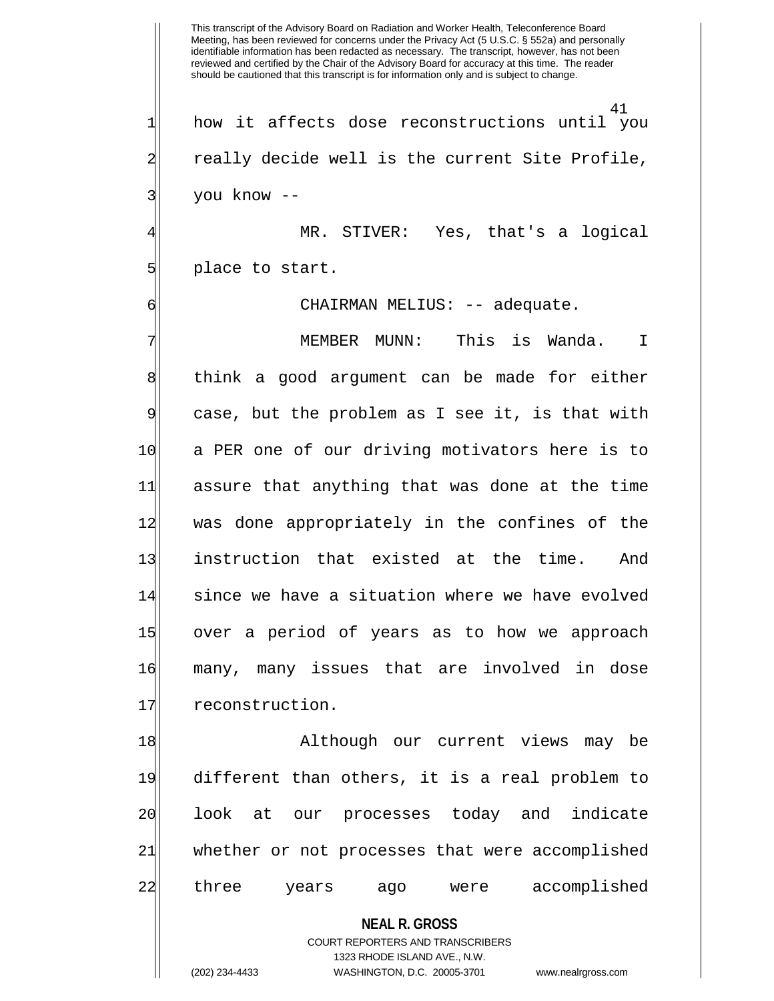41  $1$  how it affects dose reconstructions until you 2 really decide well is the current Site Profile, 3| you know --

MR. STIVER: Yes, that's a logical 5 place to start.

6 | CHAIRMAN MELIUS: -- adequate.

MEMBER MUNN: This is Wanda. I 8 | think a good argument can be made for either 9 case, but the problem as I see it, is that with 10 a PER one of our driving motivators here is to 11 assure that anything that was done at the time 12 was done appropriately in the confines of the 13 instruction that existed at the time. And 14 since we have a situation where we have evolved 15 over a period of years as to how we approach 16 many, many issues that are involved in dose 17 reconstruction.

18 Although our current views may be 19 different than others, it is a real problem to 20 look at our processes today and indicate 21 whether or not processes that were accomplished 22 three years ago were accomplished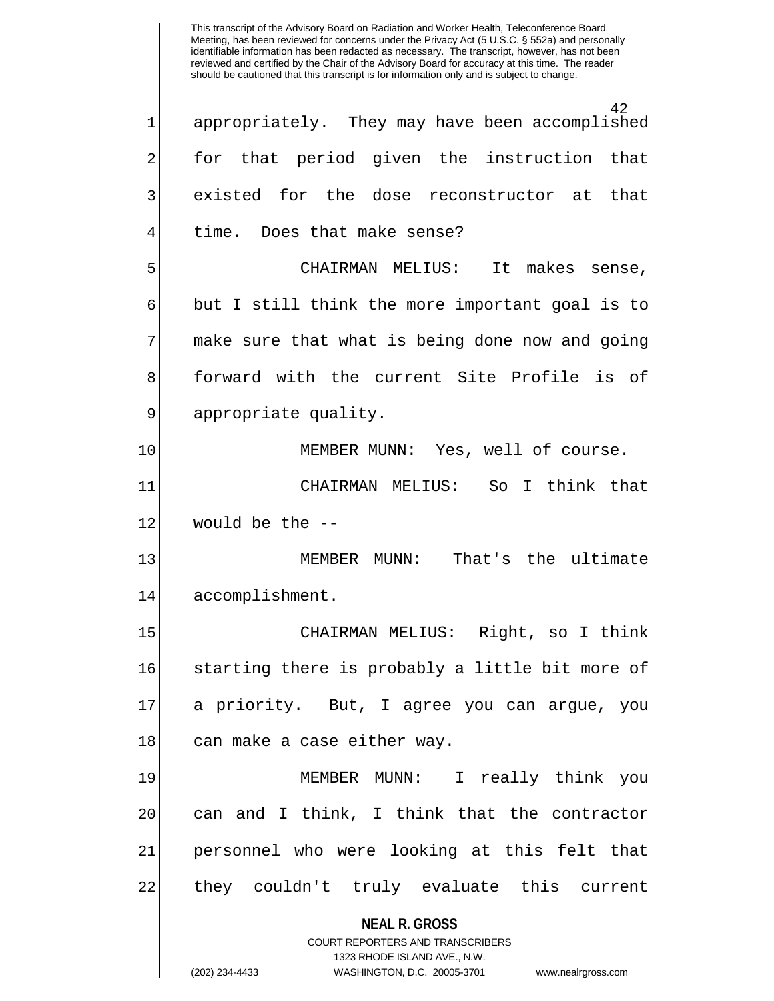**NEAL R. GROSS** COURT REPORTERS AND TRANSCRIBERS 1323 RHODE ISLAND AVE., N.W. (202) 234-4433 WASHINGTON, D.C. 20005-3701 www.nealrgross.com 42 1 appropriately. They may have been accomplished 2 for that period given the instruction that 3| existed for the dose reconstructor at that time. Does that make sense? 5 CHAIRMAN MELIUS: It makes sense,  $\mathfrak{h}$  but I still think the more important goal is to 7 make sure that what is being done now and going 8 forward with the current Site Profile is of 9 appropriate quality. 10 MEMBER MUNN: Yes, well of course. 11 CHAIRMAN MELIUS: So I think that 12 would be the --13 MEMBER MUNN: That's the ultimate 14 accomplishment. 15 CHAIRMAN MELIUS: Right, so I think 16 starting there is probably a little bit more of 17 a priority. But, I agree you can argue, you 18 can make a case either way. 19 MEMBER MUNN: I really think you 20 can and I think, I think that the contractor 21 personnel who were looking at this felt that 22| they couldn't truly evaluate this current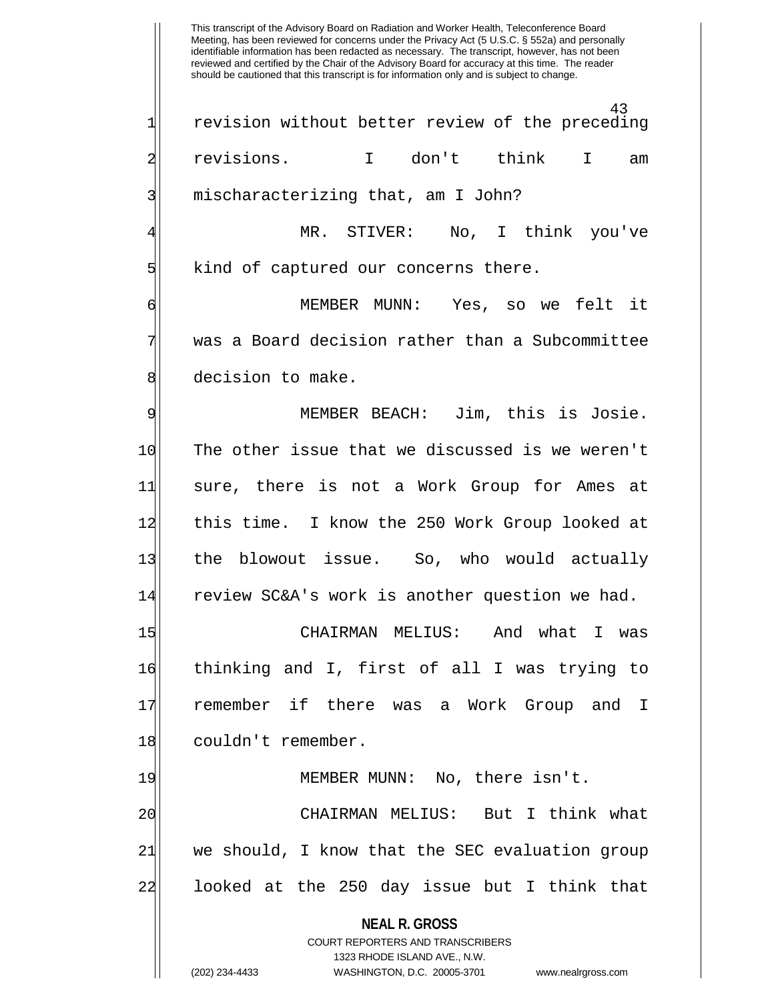43 1 revision without better review of the preceding 2 revisions. I don't think I am 3| mischaracterizing that, am I John? MR. STIVER: No, I think you've 5 | Sind of captured our concerns there.

6 MEMBER MUNN: Yes, so we felt it was a Board decision rather than a Subcommittee 8 decision to make.

9 MEMBER BEACH: Jim, this is Josie. 10 The other issue that we discussed is we weren't 11 sure, there is not a Work Group for Ames at 12 this time. I know the 250 Work Group looked at 13 the blowout issue. So, who would actually 14 review SC&A's work is another question we had.

15 CHAIRMAN MELIUS: And what I was 16 thinking and I, first of all I was trying to 17 remember if there was a Work Group and I 18 couldn't remember.

19 MEMBER MUNN: No, there isn't. 20 CHAIRMAN MELIUS: But I think what 21 we should, I know that the SEC evaluation group 22 looked at the 250 day issue but I think that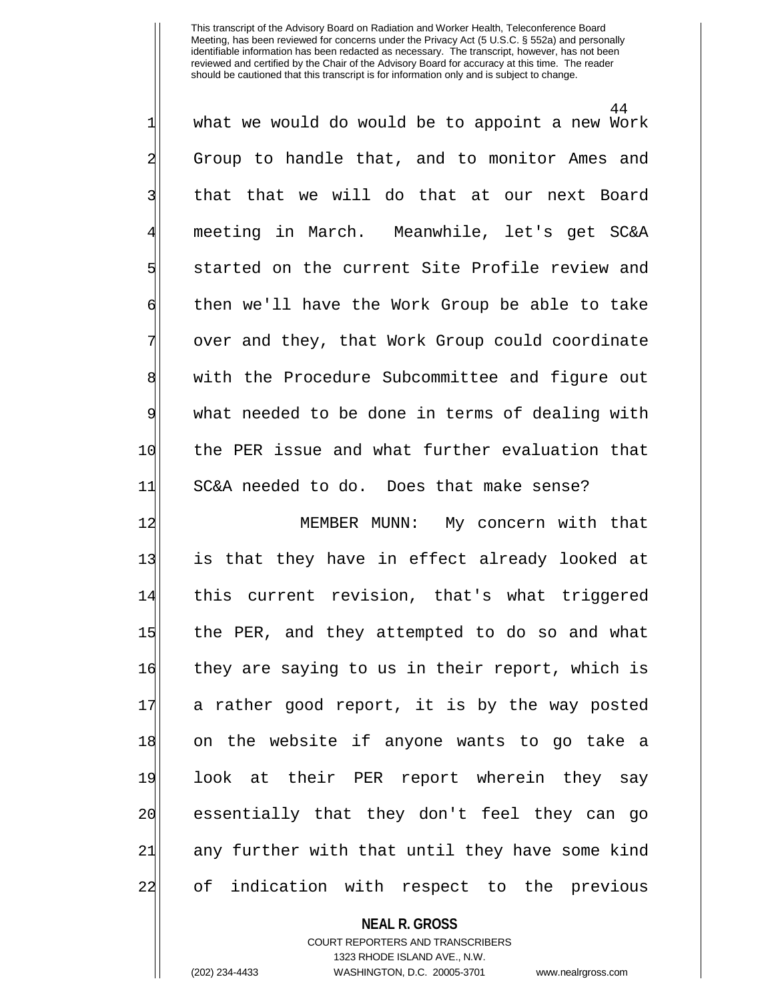44  $1$  what we would do would be to appoint a new Work 2 Group to handle that, and to monitor Ames and 3| that that we will do that at our next Board 4 meeting in March. Meanwhile, let's get SC&A 5 started on the current Site Profile review and 6 foll have the Work Group be able to take over and they, that Work Group could coordinate 8 8 with the Procedure Subcommittee and figure out 9 what needed to be done in terms of dealing with 10 the PER issue and what further evaluation that 11 SC&A needed to do. Does that make sense?

12 MEMBER MUNN: My concern with that 13 is that they have in effect already looked at 14 this current revision, that's what triggered 15 the PER, and they attempted to do so and what 16 they are saying to us in their report, which is 17 a rather good report, it is by the way posted 18 on the website if anyone wants to go take a 19 look at their PER report wherein they say 20 essentially that they don't feel they can go 21 any further with that until they have some kind 22 of indication with respect to the previous

### **NEAL R. GROSS**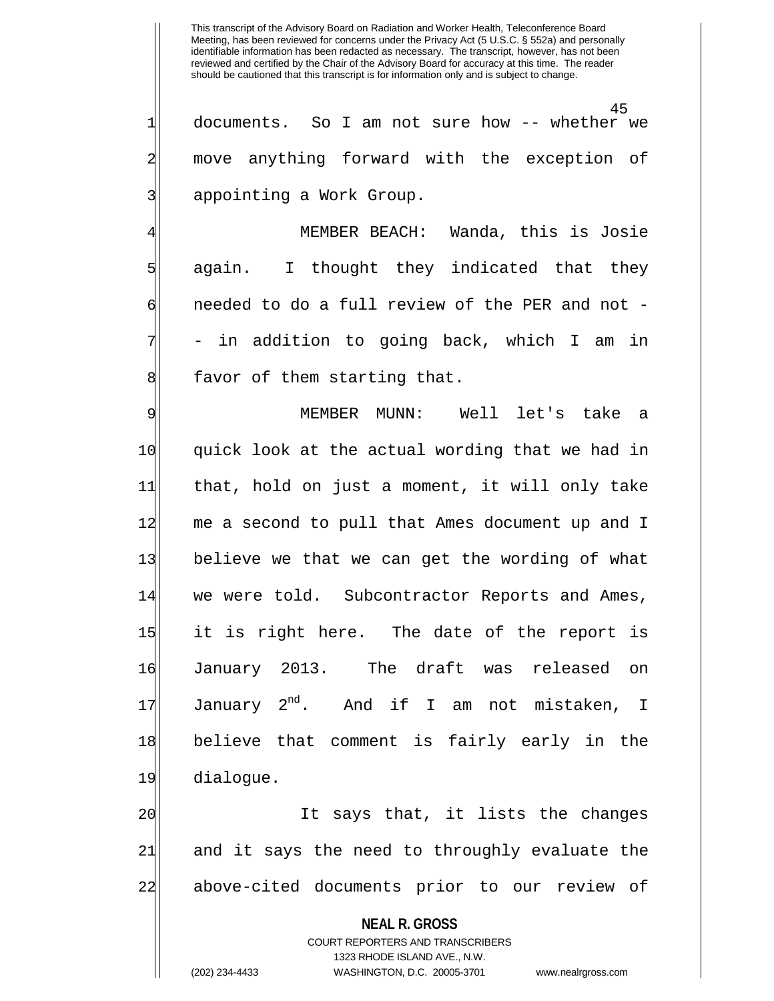45 1 documents. So I am not sure how -- whether we 2 move anything forward with the exception of 3| appointing a Work Group.

MEMBER BEACH: Wanda, this is Josie 5 again. I thought they indicated that they 6 6 6 needed to do a full review of the PER and not in addition to going back, which I am in 8 8 favor of them starting that.

9 MEMBER MUNN: Well let's take a 10 quick look at the actual wording that we had in 11 that, hold on just a moment, it will only take 12 me a second to pull that Ames document up and I 13 believe we that we can get the wording of what 14 we were told. Subcontractor Reports and Ames, 15 it is right here. The date of the report is 16 January 2013. The draft was released on 17 January  $2^{nd}$ . And if I am not mistaken, I 18 believe that comment is fairly early in the 19 dialogue.

20 It says that, it lists the changes 21 and it says the need to throughly evaluate the 22 above-cited documents prior to our review of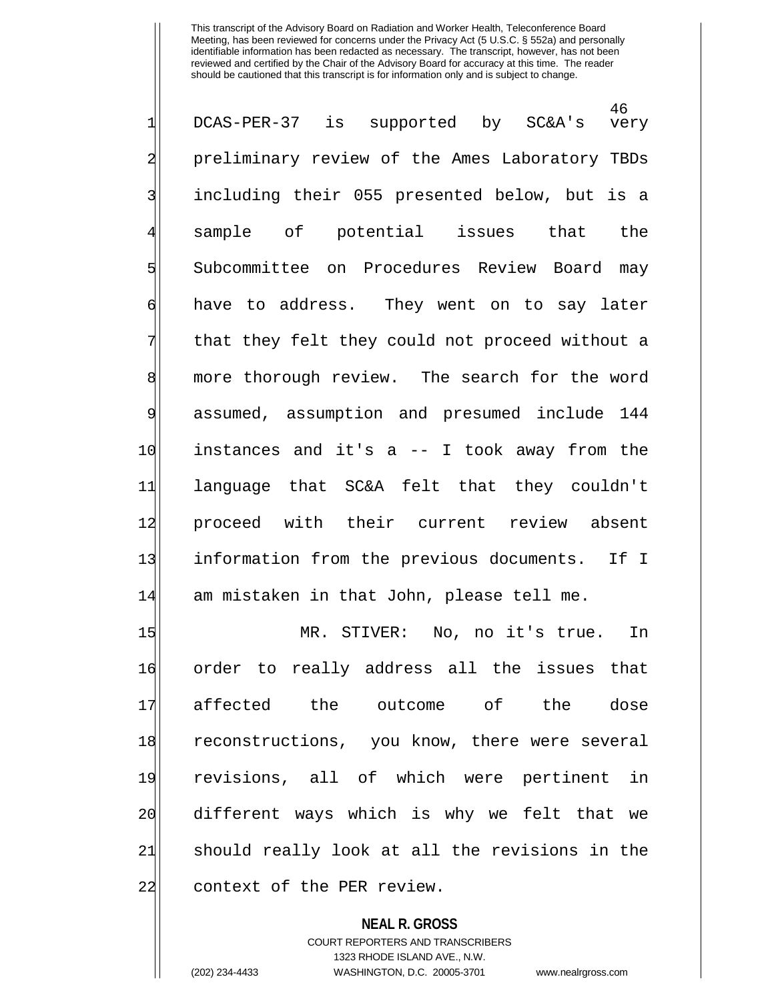46<br>very 1| DCAS-PER-37 is supported by SC&A's 2 preliminary review of the Ames Laboratory TBDs 3| including their 055 presented below, but is a sample of potential issues that the 5 Subcommittee on Procedures Review Board may 6 have to address. They went on to say later 7 That they felt they could not proceed without a 8 more thorough review. The search for the word 9 assumed, assumption and presumed include 144  $10$  instances and it's a  $-$  I took away from the 11 language that SC&A felt that they couldn't 12| proceed with their current review absent 13 information from the previous documents. If I 14 am mistaken in that John, please tell me.

15 MR. STIVER: No, no it's true. In 16 order to really address all the issues that 17 affected the outcome of the dose 18 reconstructions, you know, there were several 19 revisions, all of which were pertinent in 20 different ways which is why we felt that we 21 should really look at all the revisions in the 22 context of the PER review.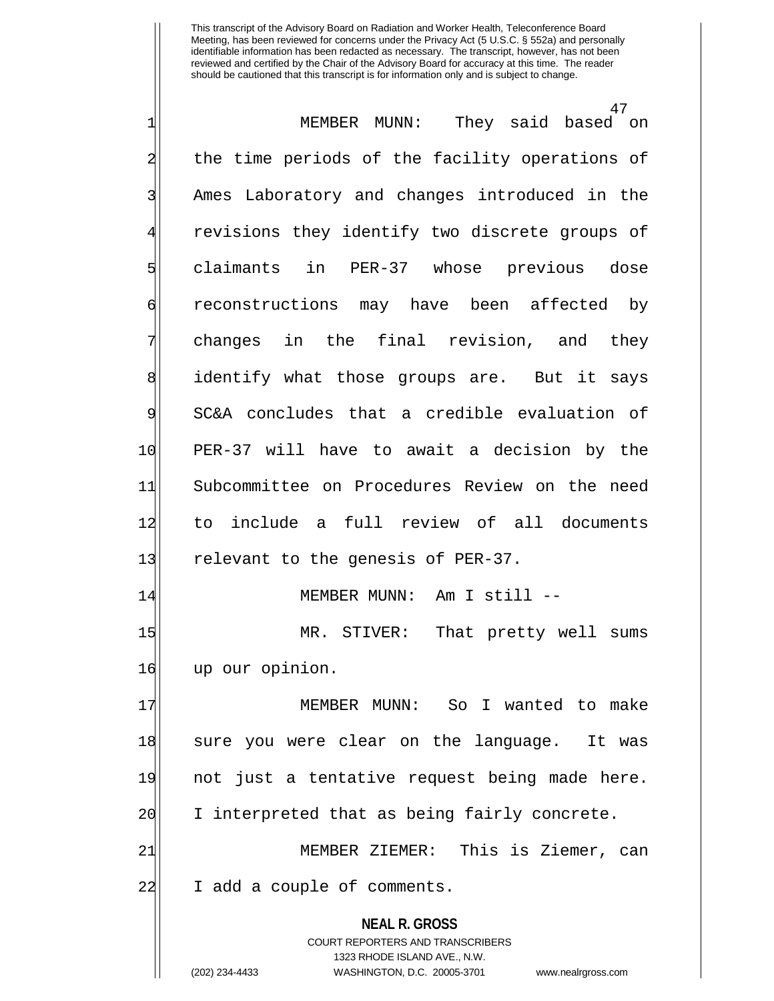**NEAL R. GROSS** COURT REPORTERS AND TRANSCRIBERS 1323 RHODE ISLAND AVE., N.W. 47 1 MEMBER MUNN: They said based on 2 the time periods of the facility operations of 3| Ames Laboratory and changes introduced in the revisions they identify two discrete groups of 5 claimants in PER-37 whose previous dose 6 reconstructions may have been affected by 7 changes in the final revision, and they 8 identify what those groups are. But it says 9 SC&A concludes that a credible evaluation of 10 PER-37 will have to await a decision by the 11 Subcommittee on Procedures Review on the need 12 to include a full review of all documents 13 relevant to the genesis of PER-37. 14 MEMBER MUNN: Am I still --15 MR. STIVER: That pretty well sums 16 up our opinion. 17 MEMBER MUNN: So I wanted to make 18 sure you were clear on the language. It was 19 not just a tentative request being made here. 20 I interpreted that as being fairly concrete. 21 MEMBER ZIEMER: This is Ziemer, can 22 I add a couple of comments.

(202) 234-4433 WASHINGTON, D.C. 20005-3701 www.nealrgross.com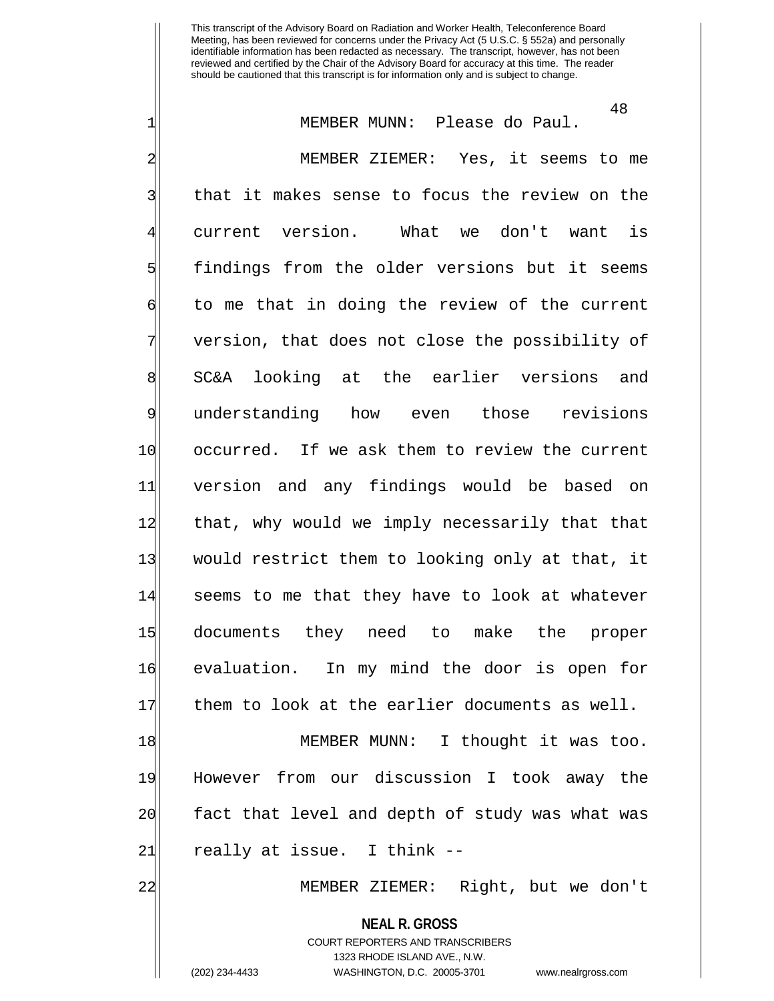1 MEMBER MUNN: Please do Paul. 2 MEMBER ZIEMER: Yes, it seems to me 3| that it makes sense to focus the review on the 4 current version. What we don't want is 5 findings from the older versions but it seems  $\mathfrak{g}$  to me that in doing the review of the current 7 version, that does not close the possibility of 8 SC&A looking at the earlier versions and 9 understanding how even those revisions 10 occurred. If we ask them to review the current 11 version and any findings would be based on 12 that, why would we imply necessarily that that 13 would restrict them to looking only at that, it 14 seems to me that they have to look at whatever 15 documents they need to make the proper 16 evaluation. In my mind the door is open for 17 them to look at the earlier documents as well.

18 MEMBER MUNN: I thought it was too. 19 However from our discussion I took away the 20 fact that level and depth of study was what was 21 really at issue. I think --

22 MEMBER ZIEMER: Right, but we don't

**NEAL R. GROSS** COURT REPORTERS AND TRANSCRIBERS 1323 RHODE ISLAND AVE., N.W. (202) 234-4433 WASHINGTON, D.C. 20005-3701 www.nealrgross.com

48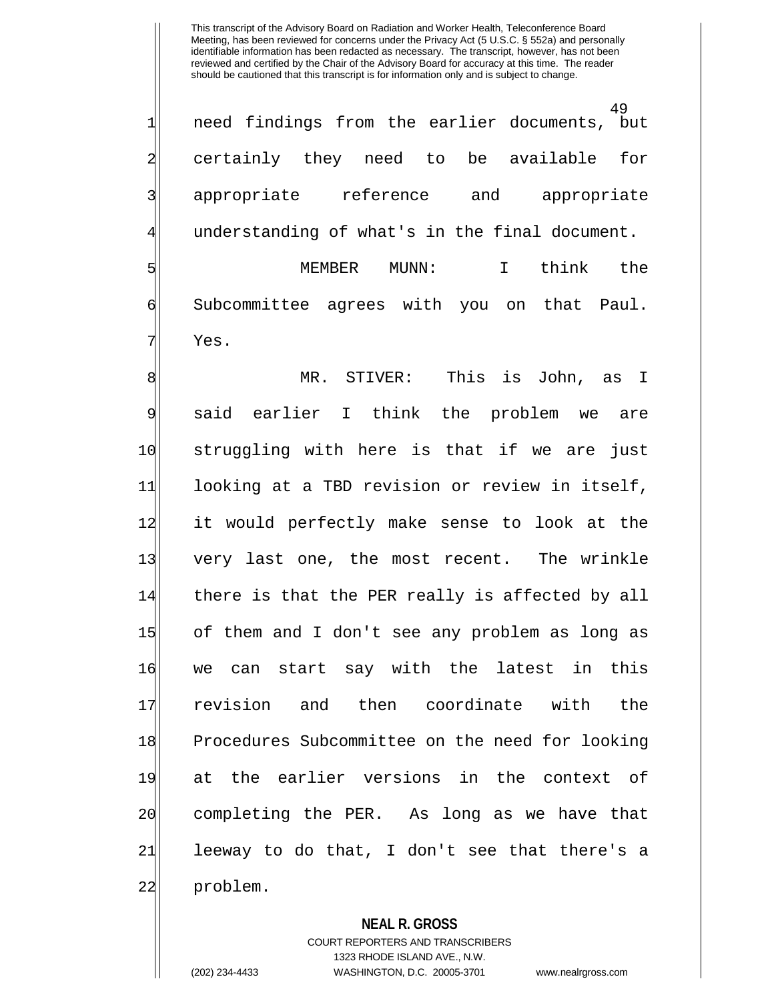49 1 need findings from the earlier documents, but 2 certainly they need to be available for 3 appropriate reference and appropriate understanding of what's in the final document.

5 | Separate MUNICS MUNN: I think the 6 Subcommittee agrees with you on that Paul. 71 Yes.

8 MR. STIVER: This is John, as I 9 said earlier I think the problem we are 10 struggling with here is that if we are just 11 looking at a TBD revision or review in itself, 12 it would perfectly make sense to look at the 13 very last one, the most recent. The wrinkle 14 there is that the PER really is affected by all 15 of them and I don't see any problem as long as 16 we can start say with the latest in this 17 revision and then coordinate with the 18 Procedures Subcommittee on the need for looking 19 at the earlier versions in the context of 20 completing the PER. As long as we have that  $21$  leeway to do that, I don't see that there's a 22 problem.

**NEAL R. GROSS**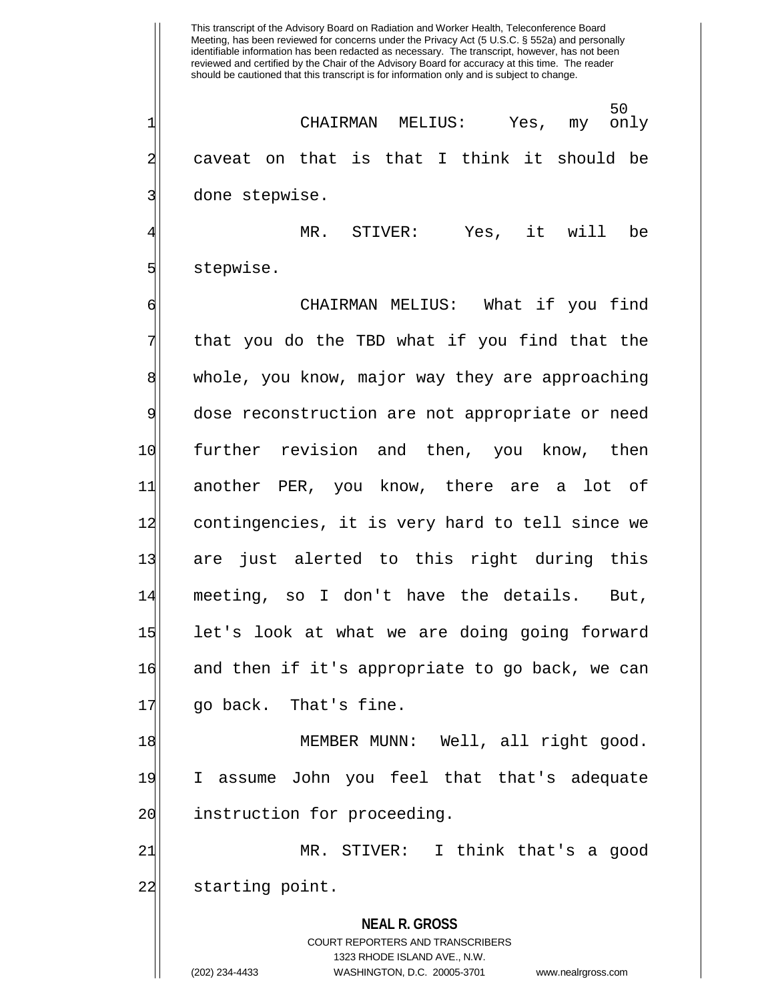50<br>only 1 CHAIRMAN MELIUS: Yes, my only 2 caveat on that is that I think it should be 3 done stepwise.

4 MR. STIVER: Yes, it will be 5 stepwise.

6 CHAIRMAN MELIUS: What if you find  $7$  that you do the TBD what if you find that the 8 whole, you know, major way they are approaching 9 dose reconstruction are not appropriate or need 10 further revision and then, you know, then 11 another PER, you know, there are a lot of 12 contingencies, it is very hard to tell since we 13| are just alerted to this right during this 14 meeting, so I don't have the details. But, 15 let's look at what we are doing going forward 16 and then if it's appropriate to go back, we can 17 qo back. That's fine.

18 MEMBER MUNN: Well, all right good. 19 I assume John you feel that that's adequate 20 instruction for proceeding.

21 MR. STIVER: I think that's a good 22 starting point.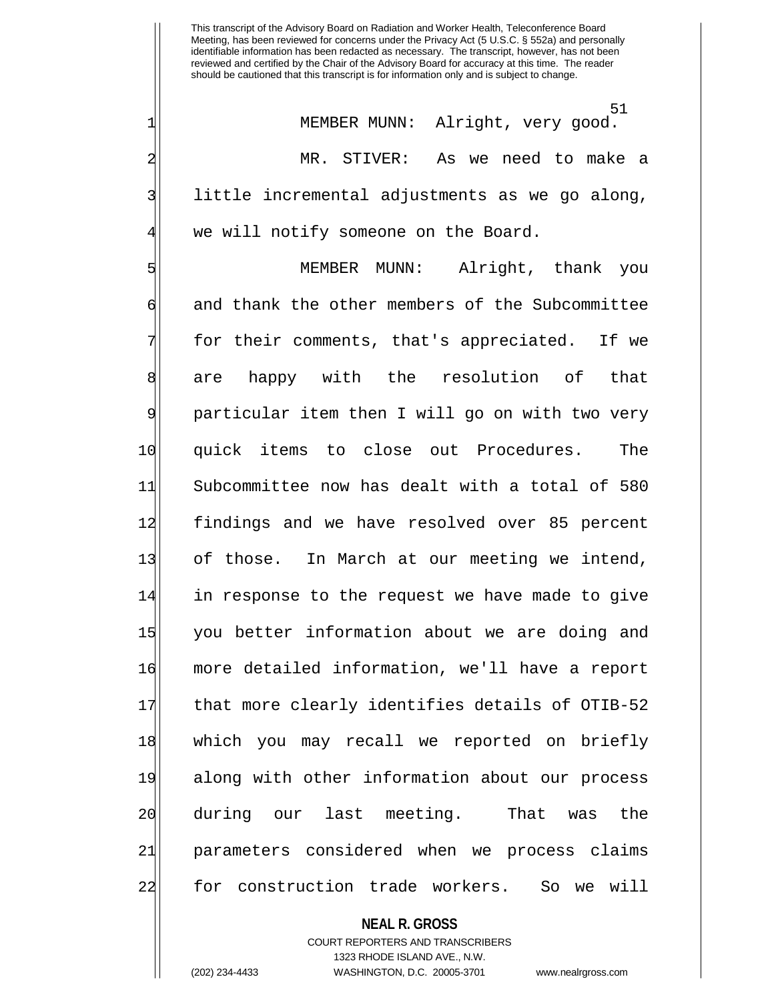51 1| MEMBER MUNN: Alright, very good. 2 MR. STIVER: As we need to make a 3 little incremental adjustments as we go along, we will notify someone on the Board.

5 MEMBER MUNN: Alright, thank you 6 and thank the other members of the Subcommittee 7 for their comments, that's appreciated. If we 8 are happy with the resolution of that 9 particular item then I will go on with two very 10 quick items to close out Procedures. The 11 Subcommittee now has dealt with a total of 580 12 findings and we have resolved over 85 percent 13 of those. In March at our meeting we intend, 14 in response to the request we have made to give 15 you better information about we are doing and 16 more detailed information, we'll have a report 17 that more clearly identifies details of OTIB-52 18 which you may recall we reported on briefly 19 along with other information about our process 20 during our last meeting. That was the 21 parameters considered when we process claims 22 for construction trade workers. So we will

#### **NEAL R. GROSS**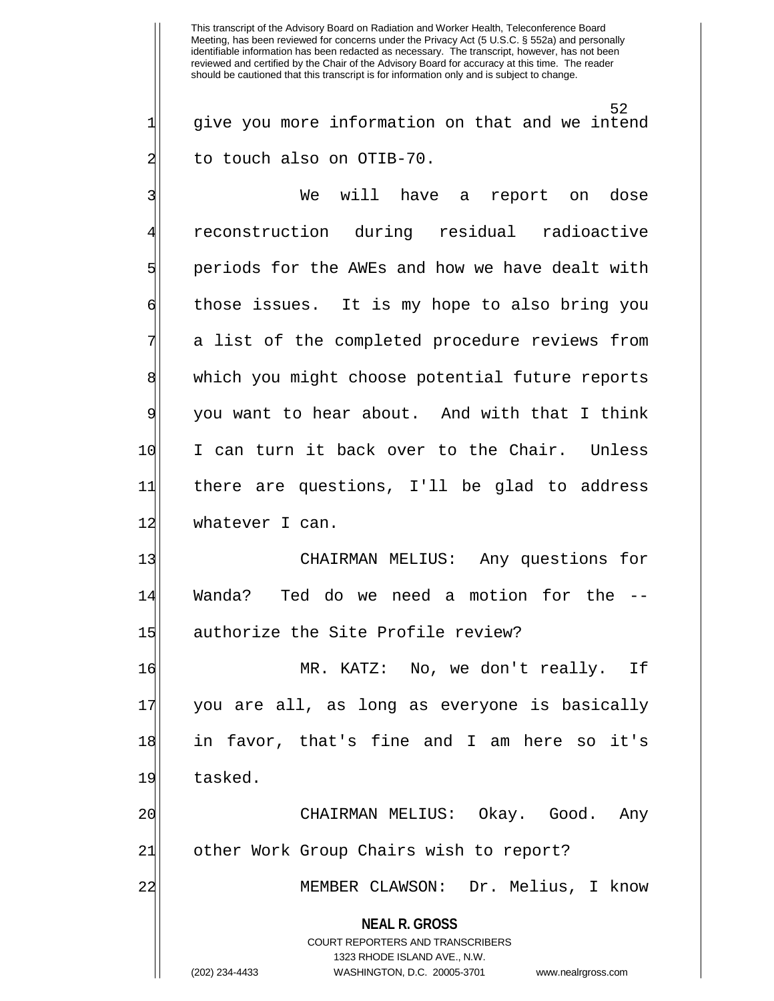52  $1$  give you more information on that and we intend 2 to touch also on OTIB-70.

3 | We will have a report on dose 4 reconstruction during residual radioactive 5 s periods for the AWEs and how we have dealt with 6 those issues. It is my hope to also bring you a list of the completed procedure reviews from 8 which you might choose potential future reports 9 you want to hear about. And with that I think 10 I can turn it back over to the Chair. Unless 11 there are questions, I'll be glad to address 12 whatever I can.

13 CHAIRMAN MELIUS: Any questions for 14 Wanda? Ted do we need a motion for the -- 15 authorize the Site Profile review?

16 MR. KATZ: No, we don't really. If 17 you are all, as long as everyone is basically 18 in favor, that's fine and I am here so it's 19 tasked.

20 CHAIRMAN MELIUS: Okay. Good. Any 21 other Work Group Chairs wish to report?

22 MEMBER CLAWSON: Dr. Melius, I know

**NEAL R. GROSS**